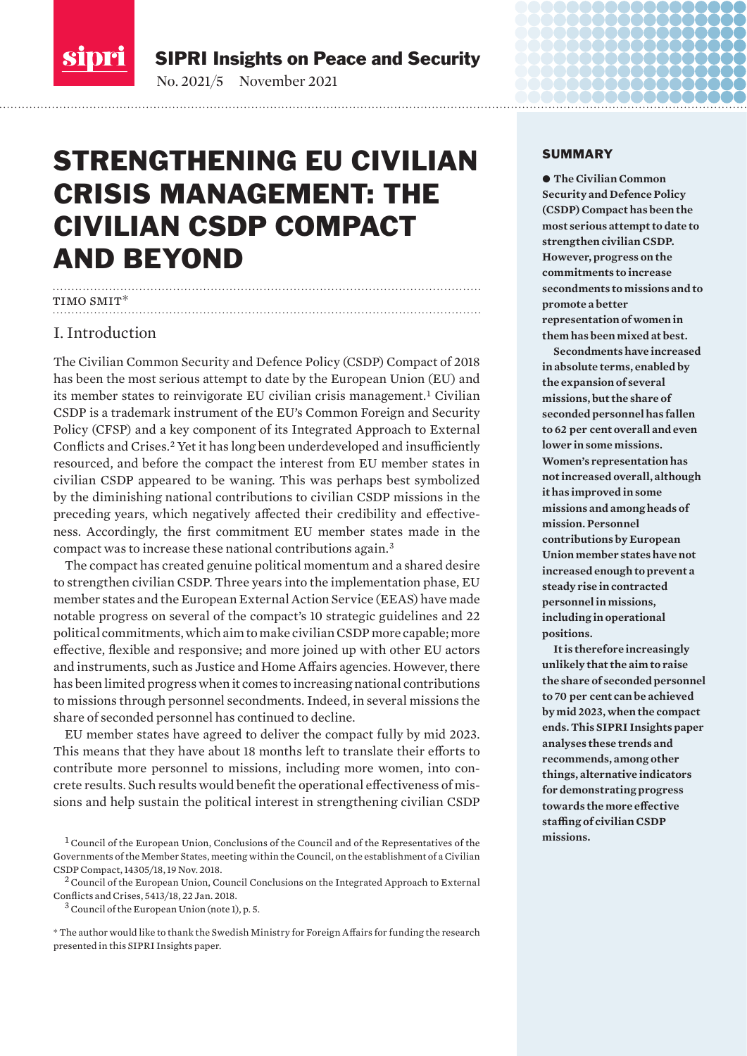<span id="page-0-0"></span>

SIPRI Insights on Peace and Security

No. 2021/5 November 2021

# STRENGTHENING EU CIVILIAN CRISIS MANAGEMENT: THE CIVILIAN CSDP COMPACT AND BEYOND

# TIMO SMIT\*

# I. Introduction

The Civilian Common Security and Defence Policy (CSDP) Compact of 2018 has been the most serious attempt to date by the European Union (EU) and its member states to reinvigorate EU civilian crisis management.<sup>1</sup> Civilian CSDP is a trademark instrument of the EU's Common Foreign and Security Policy (CFSP) and a key component of its Integrated Approach to External Conflicts and Crises.<sup>2</sup> Yet it has long been underdeveloped and insufficiently resourced, and before the compact the interest from EU member states in civilian CSDP appeared to be waning. This was perhaps best symbolized by the diminishing national contributions to civilian CSDP missions in the preceding years, which negatively affected their credibility and effectiveness. Accordingly, the first commitment EU member states made in the compact was to increase these national contributions again.<sup>3</sup>

The compact has created genuine political momentum and a shared desire to strengthen civilian CSDP. Three years into the implementation phase, EU member states and the European External Action Service (EEAS) have made notable progress on several of the compact's 10 strategic guidelines and 22 political commitments, which aim to make civilian CSDP more capable; more effective, flexible and responsive; and more joined up with other EU actors and instruments, such as Justice and Home Affairs agencies. However, there has been limited progress when it comes to increasing national contributions to missions through personnel secondments. Indeed, in several missions the share of seconded personnel has continued to decline.

EU member states have agreed to deliver the compact fully by mid 2023. This means that they have about 18 months left to translate their efforts to contribute more personnel to missions, including more women, into concrete results. Such results would benefit the operational effectiveness of missions and help sustain the political interest in strengthening civilian CSDP

#### SUMMARY

 $\bullet$  **The Civilian Common Security and Defence Policy (CSDP) Compact has been the most serious attempt to date to strengthen civilian CSDP. However, progress on the commitments to increase secondments to missions and to promote a better representation of women in them has been mixed at best.**

naaaaaa i <u> Andreas Andreas ann an 1964.</u>

**Secondments have increased in absolute terms, enabled by the expansion of several missions, but the share of seconded personnel has fallen to 62 per cent overall and even lower in some missions. Women's representation has not increased overall, although it has improved in some missions and among heads of mission. Personnel contributions by European Union member states have not increased enough to prevent a steady rise in contracted personnel in missions, including in operational positions.**

**It is therefore increasingly unlikely that the aim to raise the share of seconded personnel to 70 per cent can be achieved by mid 2023, when the compact ends. This SIPRI Insights paper analyses these trends and recommends, among other things, alternative indicators for demonstrating progress towards the more effective staffing of civilian CSDP missions.**

<sup>&</sup>lt;sup>1</sup> Council of the European Union, Conclusions of the Council and of the Representatives of the [Governments of the Member States, meeting within the Council, on the establishment of a Civilian](https://www.consilium.europa.eu/media/37027/st14305-en18.pdf)  [CSDP Compact,](https://www.consilium.europa.eu/media/37027/st14305-en18.pdf) 14305/18, 19 Nov. 2018.

 $2$  Council of the European Union, Council Conclusions on the Integrated Approach to External [Conflicts and Crises](https://data.consilium.europa.eu/doc/document/ST-5413-2018-INIT/en/pdf), 5413/18, 22 Jan. 2018.

 $3$  Council of the European Union (note 1), p. 5.

<sup>\*</sup> The author would like to thank the Swedish Ministry for Foreign Affairs for funding the research presented in this SIPRI Insights paper.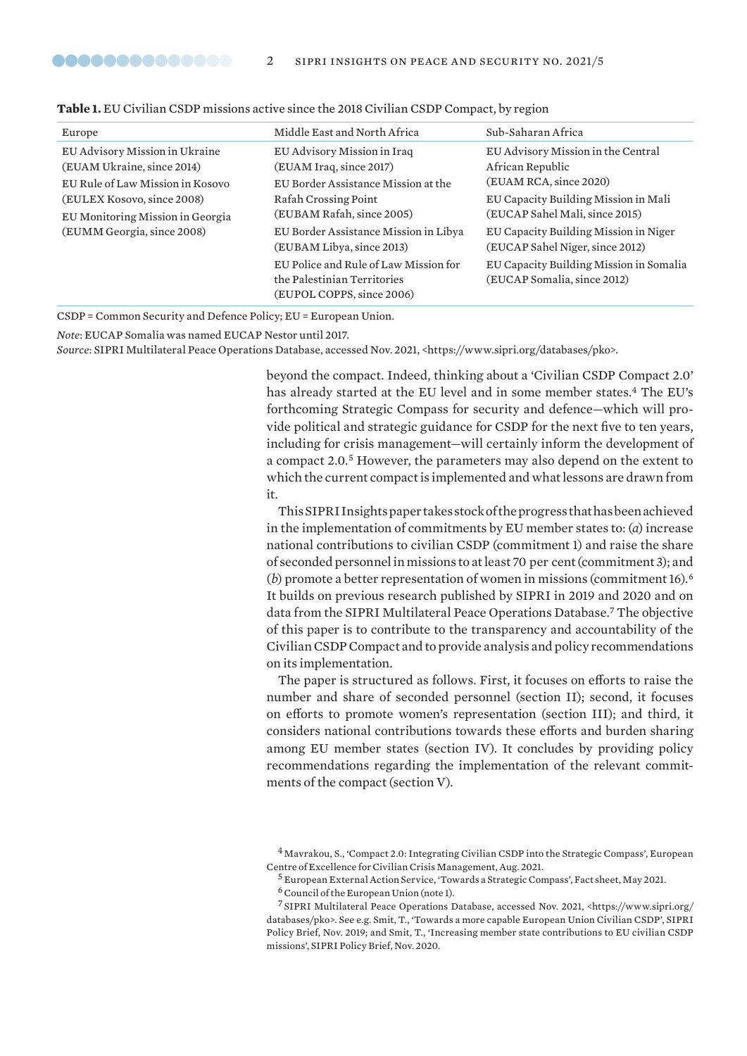| Europe                                                       | Middle East and North Africa                                                                      | Sub-Saharan Africa                                                       |
|--------------------------------------------------------------|---------------------------------------------------------------------------------------------------|--------------------------------------------------------------------------|
| EU Advisory Mission in Ukraine<br>(EUAM Ukraine, since 2014) | EU Advisory Mission in Iraq<br>(EUAM Iraq, since 2017)                                            | EU Advisory Mission in the Central<br>African Republic                   |
| EU Rule of Law Mission in Kosovo                             | EU Border Assistance Mission at the                                                               | (EUAM RCA, since 2020)                                                   |
| (EULEX Kosovo, since 2008)                                   | Rafah Crossing Point                                                                              | EU Capacity Building Mission in Mali                                     |
| EU Monitoring Mission in Georgia                             | (EUBAM Rafah, since 2005)                                                                         | (EUCAP Sahel Mali, since 2015)                                           |
| (EUMM Georgia, since 2008)                                   | EU Border Assistance Mission in Libya<br>(EUBAM Libya, since 2013)                                | EU Capacity Building Mission in Niger<br>(EUCAP Sahel Niger, since 2012) |
|                                                              | EU Police and Rule of Law Mission for<br>the Palestinian Territories<br>(EUPOL COPPS, since 2006) | EU Capacity Building Mission in Somalia<br>(EUCAP Somalia, since 2012)   |

| Table 1. EU Civilian CSDP missions active since the 2018 Civilian CSDP Compact, by region |  |  |  |  |
|-------------------------------------------------------------------------------------------|--|--|--|--|
|-------------------------------------------------------------------------------------------|--|--|--|--|

CSDP = Common Security and Defence Policy; EU = European Union.

*Note*: EUCAP Somalia was named EUCAP Nestor until 2017.

<span id="page-1-0"></span>**...............** 

*Source*: SIPRI Multilateral Peace Operations Database, accessed Nov. 2021, <https://www.sipri.org/databases/pko>.

beyond the compact. Indeed, thinking about a 'Civilian CSDP Compact 2.0' has already started at the EU level and in some member states.<sup>4</sup> The EU's forthcoming Strategic Compass for security and defence—which will provide political and strategic guidance for CSDP for the next five to ten years, including for crisis management—will certainly inform the development of a compact 2.0.<sup>5</sup> However, the parameters may also depend on the extent to which the current compact is implemented and what lessons are drawn from it.

This SIPRI Insights paper takes stock of the progress that has been achieved in the implementation of commitments by EU member states to: (*a*) increase national contributions to civilian CSDP (commitment 1) and raise the share of seconded personnel in missions to at least 70 per cent (commitment 3); and (*b*) promote a better representation of women in missions (commitment 16).<sup>6</sup> It builds on previous research published by SIPRI in 2019 and 2020 and on data from the SIPRI Multilateral Peace Operations Database.<sup>7</sup> The objective of this paper is to contribute to the transparency and accountability of the Civilian CSDP Compact and to provide analysis and policy recommendations on its implementation.

The paper is structured as follows. First, it focuses on efforts to raise the number and share of seconded personnel (section II); second, it focuses on efforts to promote women's representation (section III); and third, it considers national contributions towards these efforts and burden sharing among EU member states (section IV). It concludes by providing policy recommendations regarding the implementation of the relevant commitments of the compact (section V).

<sup>4</sup> Mavrakou, S., ['Compact 2.0: Integrating Civilian CSDP into the Strategic Compass](https://www.coe-civ.eu/fileadmin/user_upload/2021-08-26_coe_fft_paper_compact_2.0-strategic_compass.pdf)', European Centre of Excellence for Civilian Crisis Management, Aug. 2021.

<sup>5</sup> European External Action Service, '[Towards a Strategic Compass](https://eeas.europa.eu/sites/default/files/towards_a_strategic_compass.pdf)', Fact sheet, May 2021.

 $6$  Council of the European Union (note 1).

<sup>7</sup> SIPRI Multilateral Peace Operations Database, accessed Nov. 2021, <https://www.sipri.org/ databases/pko>. See e.g. Smit, T., '[Towards a more capable European Union Civilian CSDP](https://www.sipri.org/sites/default/files/2019-11/pb_1911_towards_a_more_capable_eu_civilian_csdp.pdf)', SIPRI Policy Brief, Nov. 2019; and Smit, T., '[Increasing member state contributions to EU civilian CSDP](https://www.sipri.org/sites/default/files/2020-11/pb_2011_csdp_compact_brief_1_civilian.pdf)  [missions](https://www.sipri.org/sites/default/files/2020-11/pb_2011_csdp_compact_brief_1_civilian.pdf)', SIPRI Policy Brief, Nov. 2020.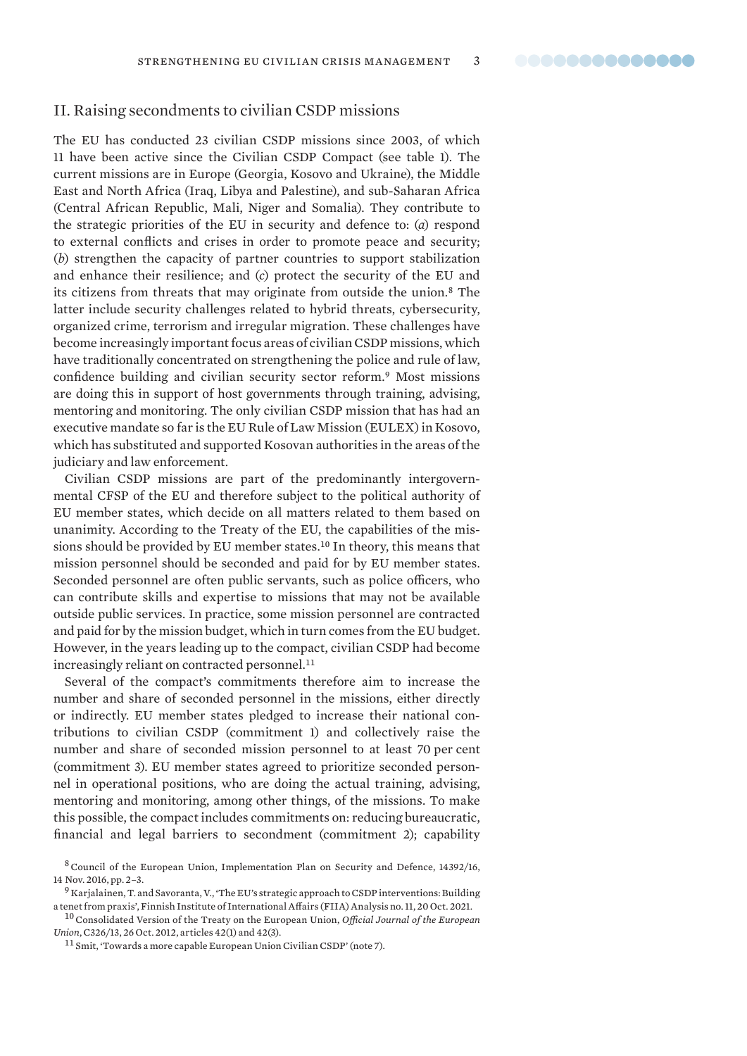# <span id="page-2-0"></span>II. Raising secondments to civilian CSDP missions

The EU has conducted 23 civilian CSDP missions since 2003, of which 11 have been active since the Civilian CSDP Compact (see table 1). The current missions are in Europe (Georgia, Kosovo and Ukraine), the Middle East and North Africa (Iraq, Libya and Palestine), and sub-Saharan Africa (Central African Republic, Mali, Niger and Somalia). They contribute to the strategic priorities of the EU in security and defence to: (*a*) respond to external conflicts and crises in order to promote peace and security; (*b*) strengthen the capacity of partner countries to support stabilization and enhance their resilience; and (*c*) protect the security of the EU and its citizens from threats that may originate from outside the union.<sup>8</sup> The latter include security challenges related to hybrid threats, cybersecurity, organized crime, terrorism and irregular migration. These challenges have become increasingly important focus areas of civilian CSDP missions, which have traditionally concentrated on strengthening the police and rule of law, confidence building and civilian security sector reform.<sup>9</sup> Most missions are doing this in support of host governments through training, advising, mentoring and monitoring. The only civilian CSDP mission that has had an executive mandate so far is the EU Rule of Law Mission (EULEX) in Kosovo, which has substituted and supported Kosovan authorities in the areas of the judiciary and law enforcement.

Civilian CSDP missions are part of the predominantly intergovernmental CFSP of the EU and therefore subject to the political authority of EU member states, which decide on all matters related to them based on unanimity. According to the Treaty of the EU, the capabilities of the missions should be provided by EU member states.<sup>10</sup> In theory, this means that mission personnel should be seconded and paid for by EU member states. Seconded personnel are often public servants, such as police officers, who can contribute skills and expertise to missions that may not be available outside public services. In practice, some mission personnel are contracted and paid for by the mission budget, which in turn comes from the EU budget. However, in the years leading up to the compact, civilian CSDP had become increasingly reliant on contracted personnel.<sup>11</sup>

Several of the compact's commitments therefore aim to increase the number and share of seconded personnel in the missions, either directly or indirectly. EU member states pledged to increase their national contributions to civilian CSDP (commitment 1) and collectively raise the number and share of seconded mission personnel to at least 70 per cent (commitment 3). EU member states agreed to prioritize seconded personnel in operational positions, who are doing the actual training, advising, mentoring and monitoring, among other things, of the missions. To make this possible, the compact includes commitments on: reducing bureaucratic, financial and legal barriers to secondment (commitment 2); capability

<sup>8</sup>Council of the European Union, [Implementation Plan on Security and Defence](https://eeas.europa.eu/sites/default/files/eugs_implementation_plan_st14392.en16_0.pdf), 14392/16, 14 Nov. 2016, pp. 2–3.

 $^{9}$  Karjalainen, T. and Savoranta, V., 'The EU's strategic approach to CSDP interventions: Building [a tenet from praxis'](https://www.fiia.fi/wp-content/uploads/2021/10/analysis11_the-eus-strategic-approach-to-csdp-internventions_tyyne-karjalainen-ville-savoranta-2.pdf), Finnish Institute of International Affairs (FIIA) Analysis no. 11, 20 Oct. 2021.

<sup>10</sup>Consolidated Version of the Treaty on the European Union, *Official Journal of the European Union*, [C326/13](https://eur-lex.europa.eu/resource.html?uri=cellar:2bf140bf-a3f8-4ab2-b506-fd71826e6da6.0023.02/DOC_1&format=PDF), 26 Oct. 2012, articles 42(1) and 42(3).

<sup>&</sup>lt;sup>11</sup> Smit, 'Towards a more capable European Union Civilian CSDP' (note 7).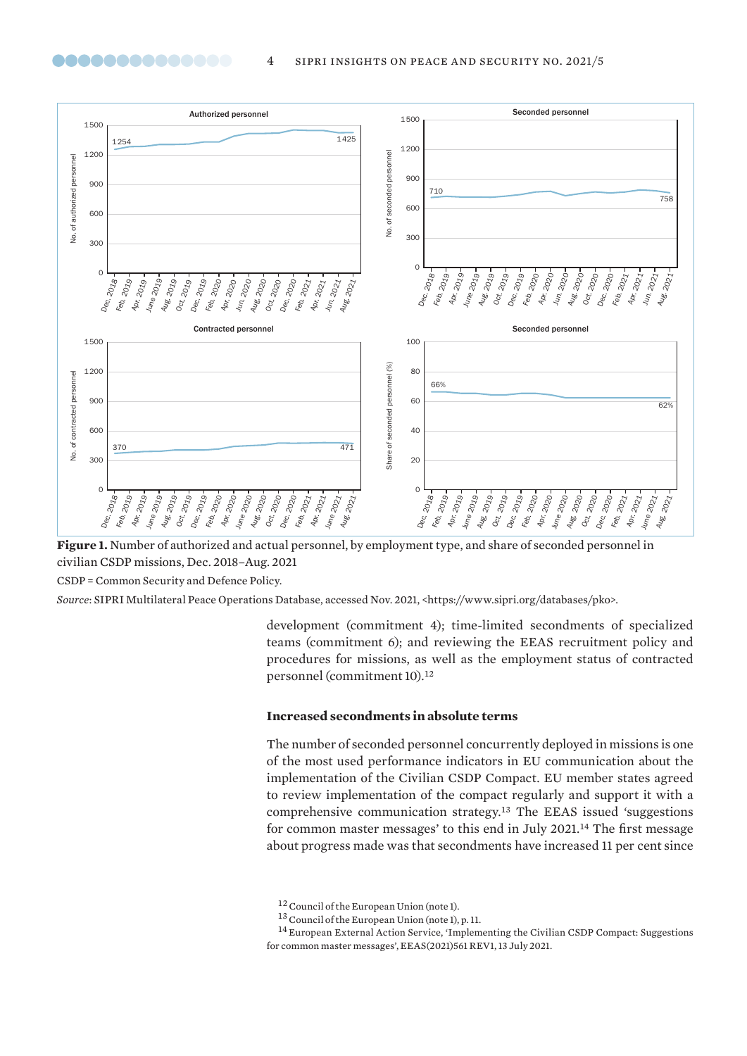

**Figure 1.** Number of authorized and actual personnel, by employment type, and share of seconded personnel in civilian CSDP missions, Dec. 2018–Aug. 2021

CSDP = Common Security and Defence Policy.

<span id="page-3-0"></span>00000000000000

*Source*: SIPRI Multilateral Peace Operations Database, accessed Nov. 2021, <https://www.sipri.org/databases/pko>.

development (commitment 4); time-limited secondments of specialized teams (commitment 6); and reviewing the EEAS recruitment policy and procedures for missions, as well as the employment status of contracted personnel (commitment 10).<sup>12</sup>

# **Increased secondments in absolute terms**

The number of seconded personnel concurrently deployed in missions is one of the most used performance indicators in EU communication about the implementation of the Civilian CSDP Compact. EU member states agreed to review implementation of the compact regularly and support it with a comprehensive communication strategy.<sup>13</sup> The EEAS issued 'suggestions for common master messages' to this end in July 2021.<sup>14</sup> The first message about progress made was that secondments have increased 11 per cent since

<sup>&</sup>lt;sup>12</sup> Council of the European Union (note 1).

<sup>13</sup>Council of the European Union (note 1), p. 11.

<sup>14</sup> European External Action Service, ['Implementing the Civilian CSDP Compact: Suggestions](https://data.consilium.europa.eu/doc/document/ST-10815-2021-INIT/en/pdf)  [for common master messages'](https://data.consilium.europa.eu/doc/document/ST-10815-2021-INIT/en/pdf), EEAS(2021)561 REV1, 13 July 2021.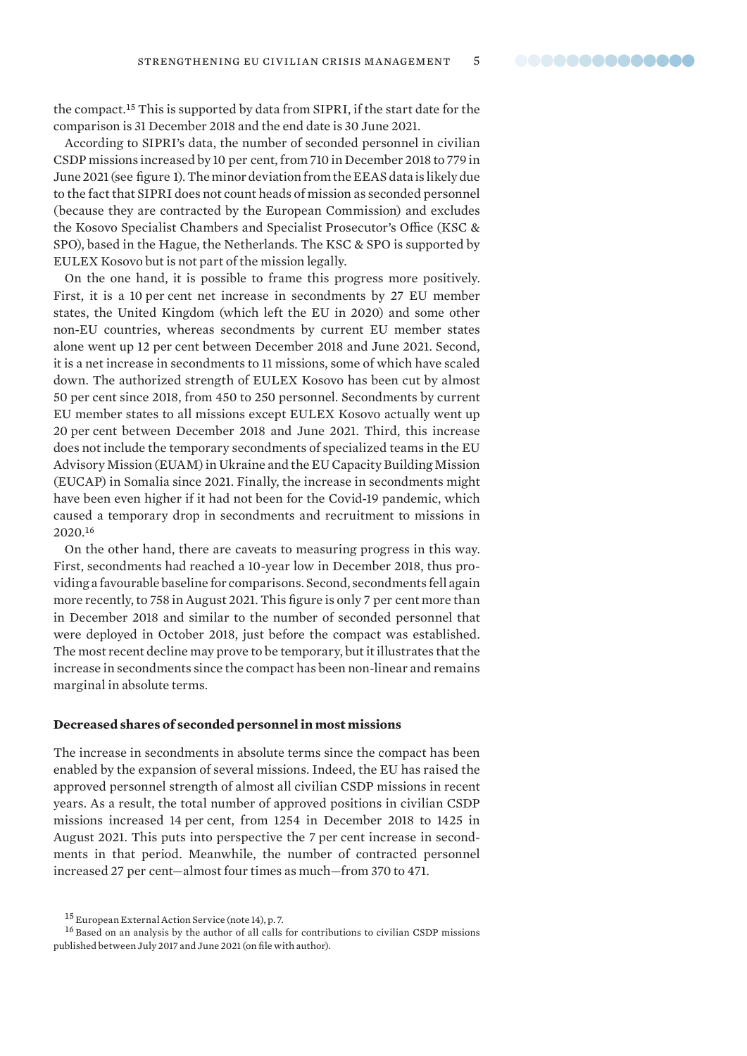<span id="page-4-0"></span>the compact.<sup>15</sup> This is supported by data from SIPRI, if the start date for the comparison is 31 December 2018 and the end date is 30 June 2021.

According to SIPRI's data, the number of seconded personnel in civilian CSDP missions increased by 10 per cent, from 710 in December 2018 to 779 in June 2021 (see figure 1). The minor deviation from the EEAS data is likely due to the fact that SIPRI does not count heads of mission as seconded personnel (because they are contracted by the European Commission) and excludes the Kosovo Specialist Chambers and Specialist Prosecutor's Office (KSC & SPO), based in the Hague, the Netherlands. The KSC & SPO is supported by EULEX Kosovo but is not part of the mission legally.

On the one hand, it is possible to frame this progress more positively. First, it is a 10 per cent net increase in secondments by 27 EU member states, the United Kingdom (which left the EU in 2020) and some other non-EU countries, whereas secondments by current EU member states alone went up 12 per cent between December 2018 and June 2021. Second, it is a net increase in secondments to 11 missions, some of which have scaled down. The authorized strength of EULEX Kosovo has been cut by almost 50 per cent since 2018, from 450 to 250 personnel. Secondments by current EU member states to all missions except EULEX Kosovo actually went up 20 per cent between December 2018 and June 2021. Third, this increase does not include the temporary secondments of specialized teams in the EU Advisory Mission (EUAM) in Ukraine and the EU Capacity Building Mission (EUCAP) in Somalia since 2021. Finally, the increase in secondments might have been even higher if it had not been for the Covid-19 pandemic, which caused a temporary drop in secondments and recruitment to missions in 2020.<sup>16</sup>

On the other hand, there are caveats to measuring progress in this way. First, secondments had reached a 10-year low in December 2018, thus providing a favourable baseline for comparisons. Second, secondments fell again more recently, to 758 in August 2021. This figure is only 7 per cent more than in December 2018 and similar to the number of seconded personnel that were deployed in October 2018, just before the compact was established. The most recent decline may prove to be temporary, but it illustrates that the increase in secondments since the compact has been non-linear and remains marginal in absolute terms.

#### **Decreased shares of seconded personnel in most missions**

The increase in secondments in absolute terms since the compact has been enabled by the expansion of several missions. Indeed, the EU has raised the approved personnel strength of almost all civilian CSDP missions in recent years. As a result, the total number of approved positions in civilian CSDP missions increased 14 per cent, from 1254 in December 2018 to 1425 in August 2021. This puts into perspective the 7 per cent increase in secondments in that period. Meanwhile, the number of contracted personnel increased 27 per cent—almost four times as much—from 370 to 471.

<sup>15</sup> European External Action Service (note 14), p. 7.

<sup>&</sup>lt;sup>16</sup> Based on an analysis by the author of all calls for contributions to civilian CSDP missions published between July 2017 and June 2021 (on file with author).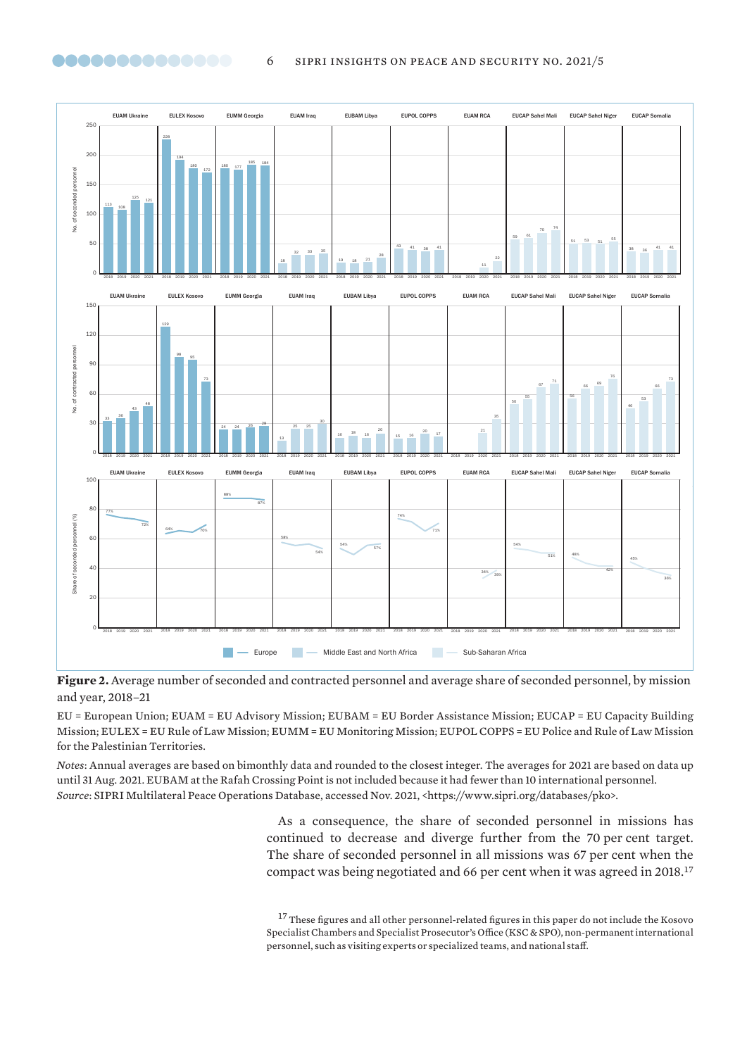

<span id="page-5-0"></span>

**Figure 2.** Average number of seconded and contracted personnel and average share of seconded personnel, by mission and year, 2018–21

EU = European Union; EUAM = EU Advisory Mission; EUBAM = EU Border Assistance Mission; EUCAP = EU Capacity Building Mission; EULEX = EU Rule of Law Mission; EUMM = EU Monitoring Mission; EUPOL COPPS = EU Police and Rule of Law Mission for the Palestinian Territories.

*Notes*: Annual averages are based on bimonthly data and rounded to the closest integer. The averages for 2021 are based on data up until 31 Aug. 2021. EUBAM at the Rafah Crossing Point is not included because it had fewer than 10 international personnel. *Source*: SIPRI Multilateral Peace Operations Database, accessed Nov. 2021, <https://www.sipri.org/databases/pko>.

> As a consequence, the share of seconded personnel in missions has continued to decrease and diverge further from the 70 per cent target. The share of seconded personnel in all missions was 67 per cent when the compact was being negotiated and 66 per cent when it was agreed in 2018.<sup>17</sup>

> $^{17}$  These figures and all other personnel-related figures in this paper do not include the Kosovo Specialist Chambers and Specialist Prosecutor's Office (KSC & SPO), non-permanent international personnel, such as visiting experts or specialized teams, and national staff.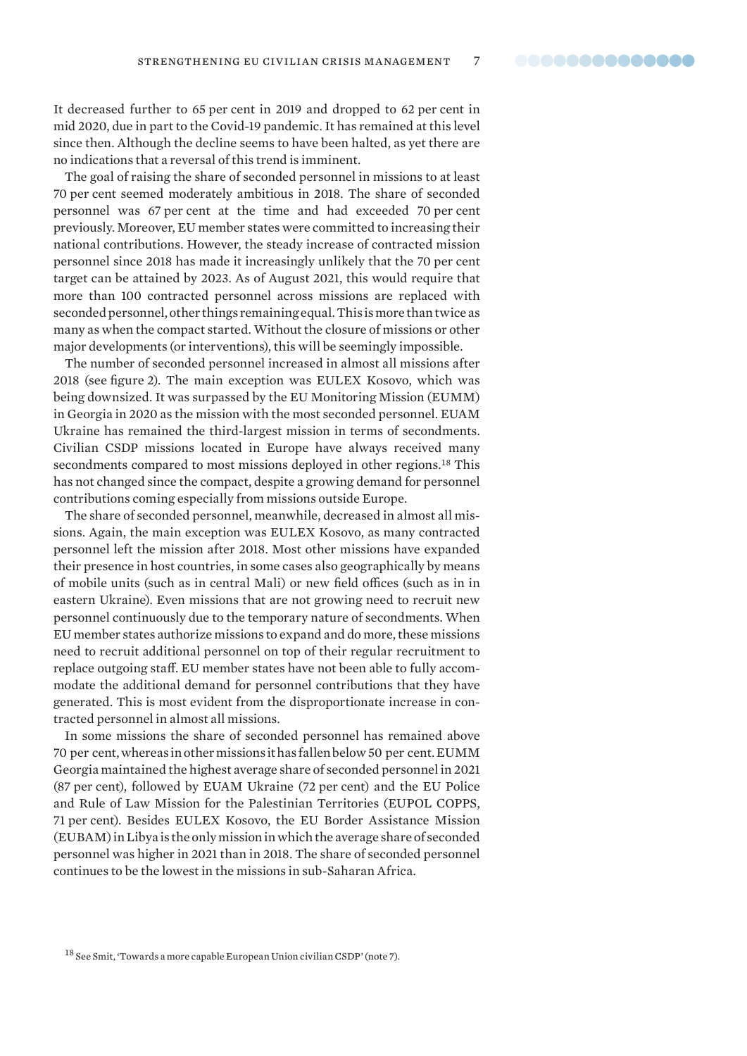It decreased further to 65 per cent in 2019 and dropped to 62 per cent in mid 2020, due in part to the Covid-19 pandemic. It has remained at this level since then. Although the decline seems to have been halted, as yet there are no indications that a reversal of this trend is imminent.

The goal of raising the share of seconded personnel in missions to at least 70 per cent seemed moderately ambitious in 2018. The share of seconded personnel was 67 per cent at the time and had exceeded 70 per cent previously. Moreover, EU member states were committed to increasing their national contributions. However, the steady increase of contracted mission personnel since 2018 has made it increasingly unlikely that the 70 per cent target can be attained by 2023. As of August 2021, this would require that more than 100 contracted personnel across missions are replaced with seconded personnel, other things remaining equal. This is more than twice as many as when the compact started. Without the closure of missions or other major developments (or interventions), this will be seemingly impossible.

The number of seconded personnel increased in almost all missions after 2018 (see figure 2). The main exception was EULEX Kosovo, which was being downsized. It was surpassed by the EU Monitoring Mission (EUMM) in Georgia in 2020 as the mission with the most seconded personnel. EUAM Ukraine has remained the third-largest mission in terms of secondments. Civilian CSDP missions located in Europe have always received many secondments compared to most missions deployed in other regions.<sup>18</sup> This has not changed since the compact, despite a growing demand for personnel contributions coming especially from missions outside Europe.

The share of seconded personnel, meanwhile, decreased in almost all missions. Again, the main exception was EULEX Kosovo, as many contracted personnel left the mission after 2018. Most other missions have expanded their presence in host countries, in some cases also geographically by means of mobile units (such as in central Mali) or new field offices (such as in in eastern Ukraine). Even missions that are not growing need to recruit new personnel continuously due to the temporary nature of secondments. When EU member states authorize missions to expand and do more, these missions need to recruit additional personnel on top of their regular recruitment to replace outgoing staff. EU member states have not been able to fully accommodate the additional demand for personnel contributions that they have generated. This is most evident from the disproportionate increase in contracted personnel in almost all missions.

In some missions the share of seconded personnel has remained above 70 per cent, whereas in other missions it has fallen below 50 per cent. EUMM Georgia maintained the highest average share of seconded personnel in 2021 (87 per cent), followed by EUAM Ukraine (72 per cent) and the EU Police and Rule of Law Mission for the Palestinian Territories (EUPOL COPPS, 71 per cent). Besides EULEX Kosovo, the EU Border Assistance Mission (EUBAM) in Libya is the only mission in which the average share of seconded personnel was higher in 2021 than in 2018. The share of seconded personnel continues to be the lowest in the missions in sub-Saharan Africa.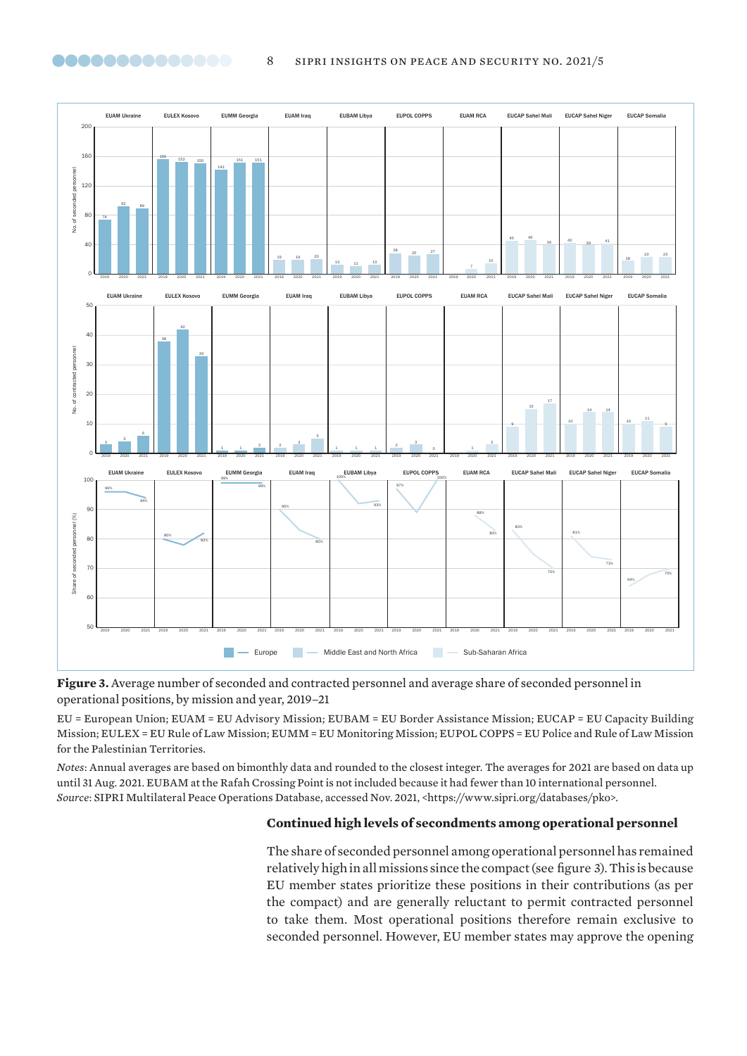

<span id="page-7-0"></span>

**Figure 3.** Average number of seconded and contracted personnel and average share of seconded personnel in operational positions, by mission and year, 2019–21

EU = European Union; EUAM = EU Advisory Mission; EUBAM = EU Border Assistance Mission; EUCAP = EU Capacity Building Mission; EULEX = EU Rule of Law Mission; EUMM = EU Monitoring Mission; EUPOL COPPS = EU Police and Rule of Law Mission for the Palestinian Territories.

*Notes*: Annual averages are based on bimonthly data and rounded to the closest integer. The averages for 2021 are based on data up until 31 Aug. 2021. EUBAM at the Rafah Crossing Point is not included because it had fewer than 10 international personnel. *Source*: SIPRI Multilateral Peace Operations Database, accessed Nov. 2021, <https://www.sipri.org/databases/pko>.

# **Continued high levels of secondments among operational personnel**

The share of seconded personnel among operational personnel has remained relatively high in all missions since the compact (see figure 3). This is because EU member states prioritize these positions in their contributions (as per the compact) and are generally reluctant to permit contracted personnel to take them. Most operational positions therefore remain exclusive to seconded personnel. However, EU member states may approve the opening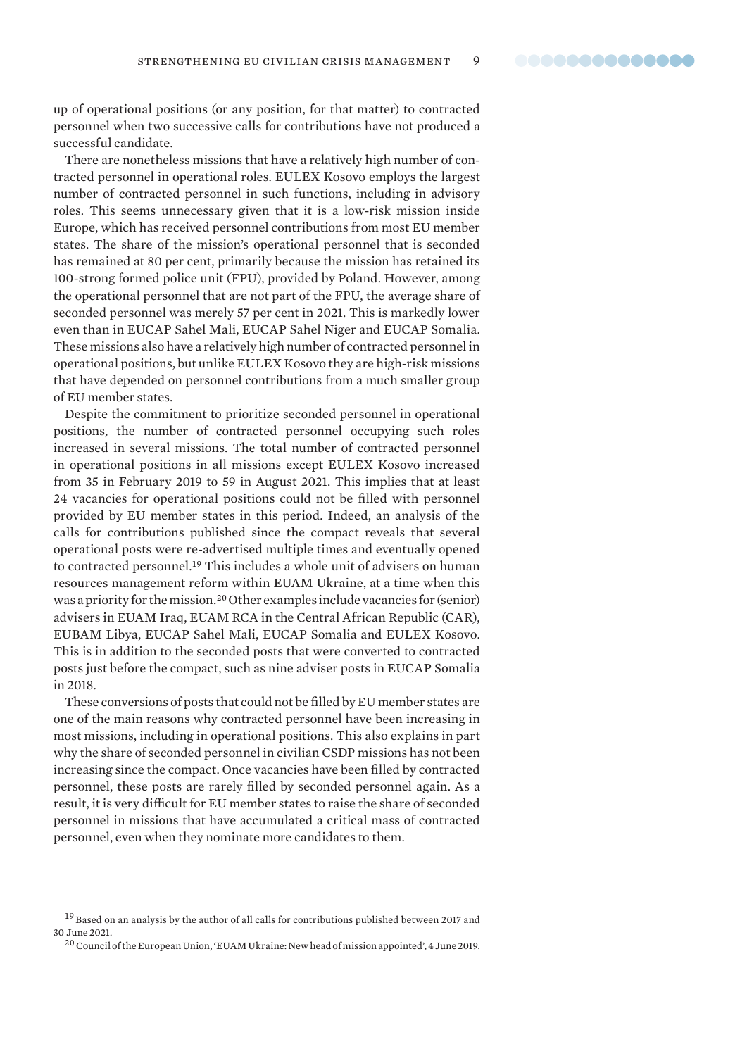up of operational positions (or any position, for that matter) to contracted personnel when two successive calls for contributions have not produced a successful candidate.

There are nonetheless missions that have a relatively high number of contracted personnel in operational roles. EULEX Kosovo employs the largest number of contracted personnel in such functions, including in advisory roles. This seems unnecessary given that it is a low-risk mission inside Europe, which has received personnel contributions from most EU member states. The share of the mission's operational personnel that is seconded has remained at 80 per cent, primarily because the mission has retained its 100-strong formed police unit (FPU), provided by Poland. However, among the operational personnel that are not part of the FPU, the average share of seconded personnel was merely 57 per cent in 2021. This is markedly lower even than in EUCAP Sahel Mali, EUCAP Sahel Niger and EUCAP Somalia. These missions also have a relatively high number of contracted personnel in operational positions, but unlike EULEX Kosovo they are high-risk missions that have depended on personnel contributions from a much smaller group of EU member states.

Despite the commitment to prioritize seconded personnel in operational positions, the number of contracted personnel occupying such roles increased in several missions. The total number of contracted personnel in operational positions in all missions except EULEX Kosovo increased from 35 in February 2019 to 59 in August 2021. This implies that at least 24 vacancies for operational positions could not be filled with personnel provided by EU member states in this period. Indeed, an analysis of the calls for contributions published since the compact reveals that several operational posts were re-advertised multiple times and eventually opened to contracted personnel.<sup>19</sup> This includes a whole unit of advisers on human resources management reform within EUAM Ukraine, at a time when this was a priority for the mission.<sup>20</sup> Other examples include vacancies for (senior) advisers in EUAM Iraq, EUAM RCA in the Central African Republic (CAR), EUBAM Libya, EUCAP Sahel Mali, EUCAP Somalia and EULEX Kosovo. This is in addition to the seconded posts that were converted to contracted posts just before the compact, such as nine adviser posts in EUCAP Somalia in 2018.

These conversions of posts that could not be filled by EU member states are one of the main reasons why contracted personnel have been increasing in most missions, including in operational positions. This also explains in part why the share of seconded personnel in civilian CSDP missions has not been increasing since the compact. Once vacancies have been filled by contracted personnel, these posts are rarely filled by seconded personnel again. As a result, it is very difficult for EU member states to raise the share of seconded personnel in missions that have accumulated a critical mass of contracted personnel, even when they nominate more candidates to them.

<sup>&</sup>lt;sup>19</sup> Based on an analysis by the author of all calls for contributions published between 2017 and 30 June 2021.

<sup>&</sup>lt;sup>20</sup> Council of the European Union, ['EUAM Ukraine: New head of mission appointed'](https://www.consilium.europa.eu/en/press/press-releases/2019/06/04/euam-ukraine-new-head-of-mission-appointed/), 4 June 2019.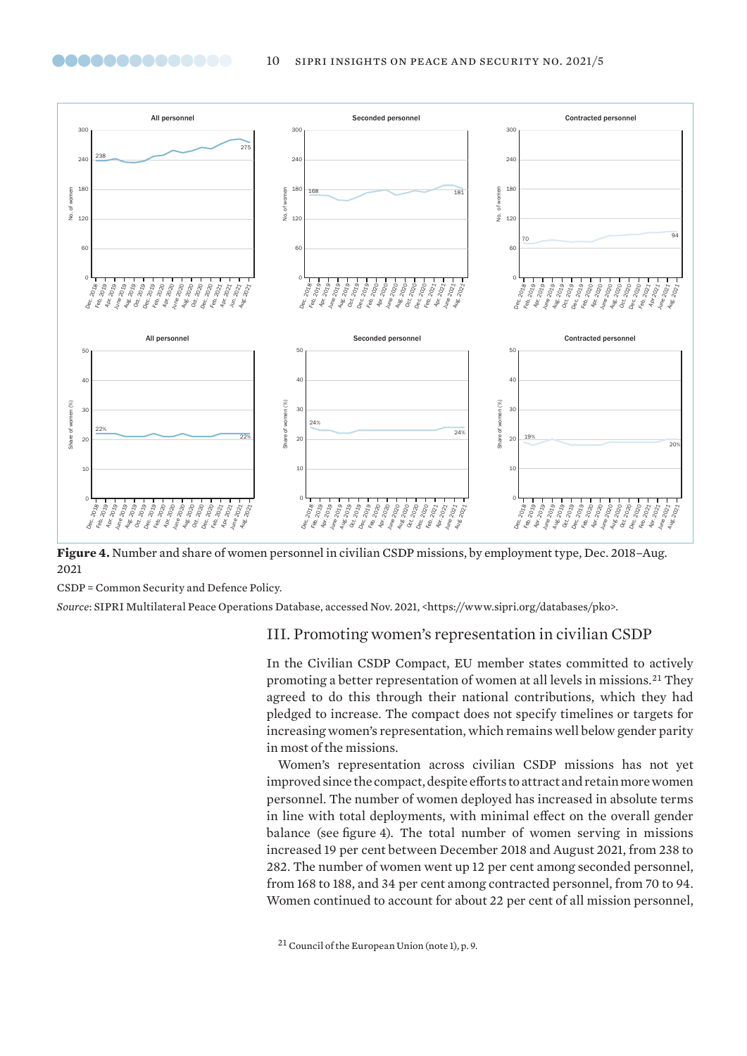<span id="page-9-0"></span>

**Figure 4.** Number and share of women personnel in civilian CSDP missions, by employment type, Dec. 2018–Aug. 2021

CSDP = Common Security and Defence Policy.

*Source*: SIPRI Multilateral Peace Operations Database, accessed Nov. 2021, <https://www.sipri.org/databases/pko>.

# III. Promoting women's representation in civilian CSDP

In the Civilian CSDP Compact, EU member states committed to actively promoting a better representation of women at all levels in missions.<sup>21</sup> They agreed to do this through their national contributions, which they had pledged to increase. The compact does not specify timelines or targets for increasing women's representation, which remains well below gender parity in most of the missions.

Women's representation across civilian CSDP missions has not yet improved since the compact, despite efforts to attract and retain more women personnel. The number of women deployed has increased in absolute terms in line with total deployments, with minimal effect on the overall gender balance (see figure 4). The total number of women serving in missions increased 19 per cent between December 2018 and August 2021, from 238 to 282. The number of women went up 12 per cent among seconded personnel, from 168 to 188, and 34 per cent among contracted personnel, from 70 to 94. Women continued to account for about 22 per cent of all mission personnel,

<sup>21</sup>Council of the European Union (note 1), p. 9.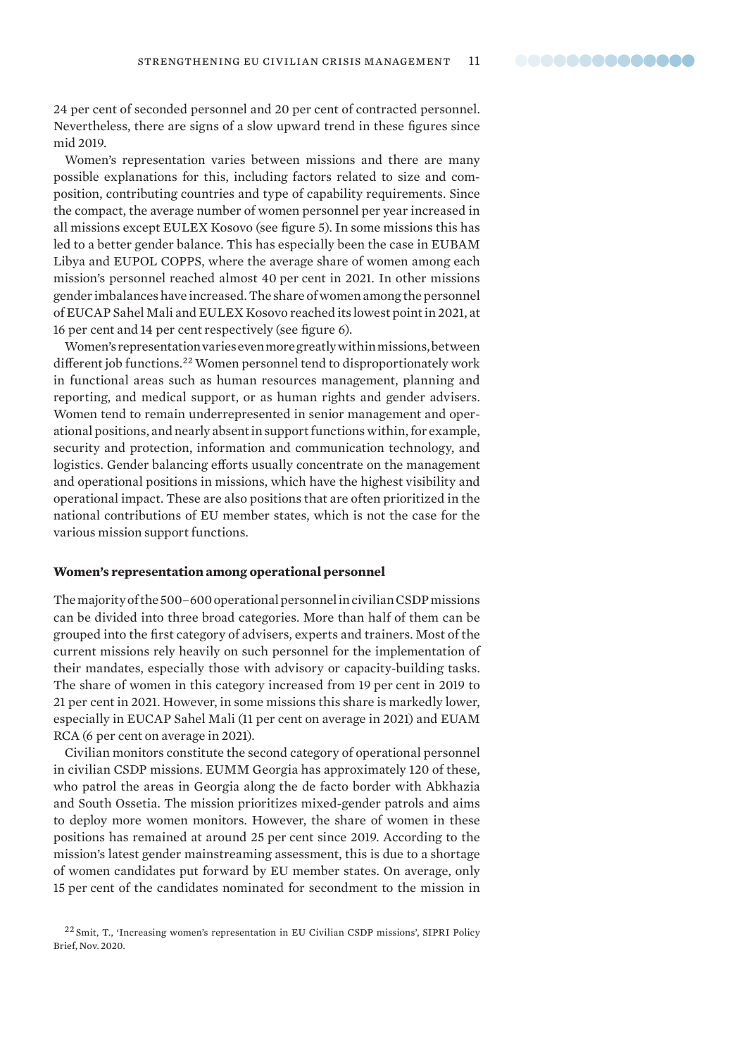<span id="page-10-0"></span>24 per cent of seconded personnel and 20 per cent of contracted personnel. Nevertheless, there are signs of a slow upward trend in these figures since mid 2019.

Women's representation varies between missions and there are many possible explanations for this, including factors related to size and composition, contributing countries and type of capability requirements. Since the compact, the average number of women personnel per year increased in all missions except EULEX Kosovo (see figure 5). In some missions this has led to a better gender balance. This has especially been the case in EUBAM Libya and EUPOL COPPS, where the average share of women among each mission's personnel reached almost 40 per cent in 2021. In other missions gender imbalances have increased. The share of women among the personnel of EUCAP Sahel Mali and EULEX Kosovo reached its lowest point in 2021, at 16 per cent and 14 per cent respectively (see figure 6).

Women's representation varies even more greatly within missions, between different job functions.<sup>22</sup> Women personnel tend to disproportionately work in functional areas such as human resources management, planning and reporting, and medical support, or as human rights and gender advisers. Women tend to remain underrepresented in senior management and operational positions, and nearly absent in support functions within, for example, security and protection, information and communication technology, and logistics. Gender balancing efforts usually concentrate on the management and operational positions in missions, which have the highest visibility and operational impact. These are also positions that are often prioritized in the national contributions of EU member states, which is not the case for the various mission support functions.

#### **Women's representation among operational personnel**

The majority of the 500–600 operational personnel in civilian CSDP missions can be divided into three broad categories. More than half of them can be grouped into the first category of advisers, experts and trainers. Most of the current missions rely heavily on such personnel for the implementation of their mandates, especially those with advisory or capacity-building tasks. The share of women in this category increased from 19 per cent in 2019 to 21 per cent in 2021. However, in some missions this share is markedly lower, especially in EUCAP Sahel Mali (11 per cent on average in 2021) and EUAM RCA (6 per cent on average in 2021).

Civilian monitors constitute the second category of operational personnel in civilian CSDP missions. EUMM Georgia has approximately 120 of these, who patrol the areas in Georgia along the de facto border with Abkhazia and South Ossetia. The mission prioritizes mixed-gender patrols and aims to deploy more women monitors. However, the share of women in these positions has remained at around 25 per cent since 2019. According to the mission's latest gender mainstreaming assessment, this is due to a shortage of women candidates put forward by EU member states. On average, only 15 per cent of the candidates nominated for secondment to the mission in

<sup>22</sup> Smit, T., '[Increasing women's representation in EU Civilian CSDP missions'](https://www.sipri.org/sites/default/files/2020-11/pb_2011_csdp_compact_brief_2_womens_representation_0.pdf), SIPRI Policy Brief, Nov. 2020.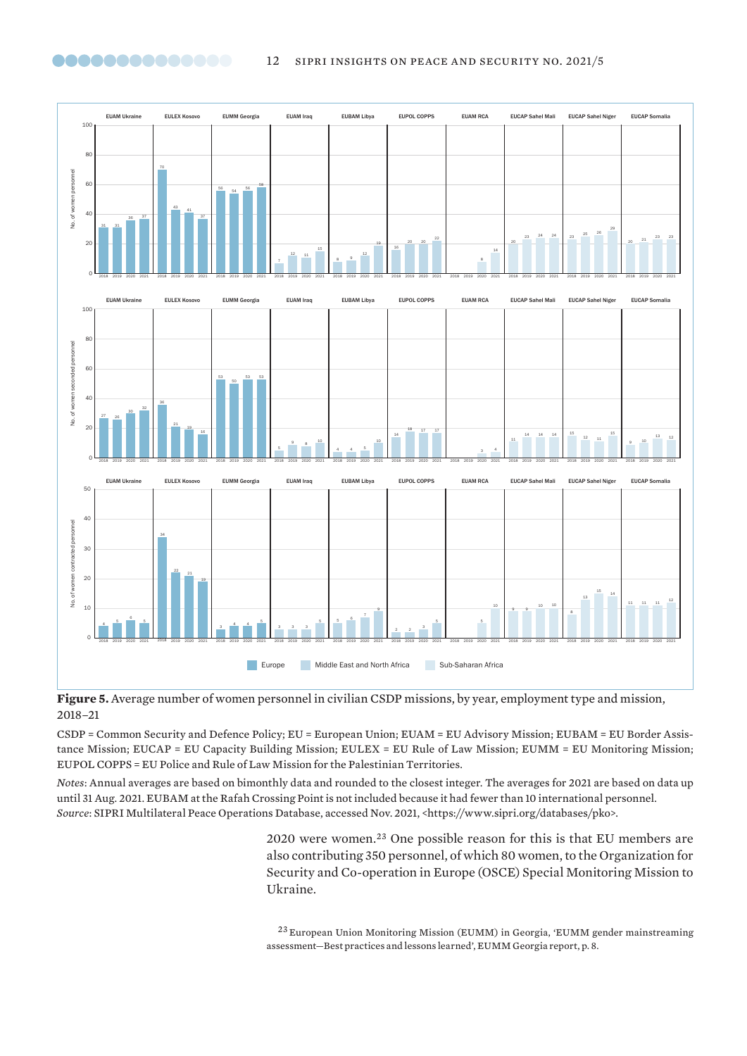<span id="page-11-0"></span>



**Figure 5.** Average number of women personnel in civilian CSDP missions, by year, employment type and mission, 2018–21

CSDP = Common Security and Defence Policy; EU = European Union; EUAM = EU Advisory Mission; EUBAM = EU Border Assistance Mission; EUCAP = EU Capacity Building Mission; EULEX = EU Rule of Law Mission; EUMM = EU Monitoring Mission; EUPOL COPPS = EU Police and Rule of Law Mission for the Palestinian Territories.

*Notes*: Annual averages are based on bimonthly data and rounded to the closest integer. The averages for 2021 are based on data up until 31 Aug. 2021. EUBAM at the Rafah Crossing Point is not included because it had fewer than 10 international personnel. *Source*: SIPRI Multilateral Peace Operations Database, accessed Nov. 2021, <https://www.sipri.org/databases/pko>.

> 2020 were women.<sup>23</sup> One possible reason for this is that EU members are also contributing 350 personnel, of which 80 women, to the Organization for Security and Co-operation in Europe (OSCE) Special Monitoring Mission to Ukraine.

> European Union Monitoring Mission (EUMM) in Georgia, ['EUMM gender mainstreaming](https://eumm.eu/data/file/36958/EUMM_Georgia_Gender_Mainstreaming_Assessment_Best_Practices_Lessons_Learned_2018_2020.pdf)  [assessment—Best practices and lessons learned'](https://eumm.eu/data/file/36958/EUMM_Georgia_Gender_Mainstreaming_Assessment_Best_Practices_Lessons_Learned_2018_2020.pdf), EUMM Georgia report, p. 8.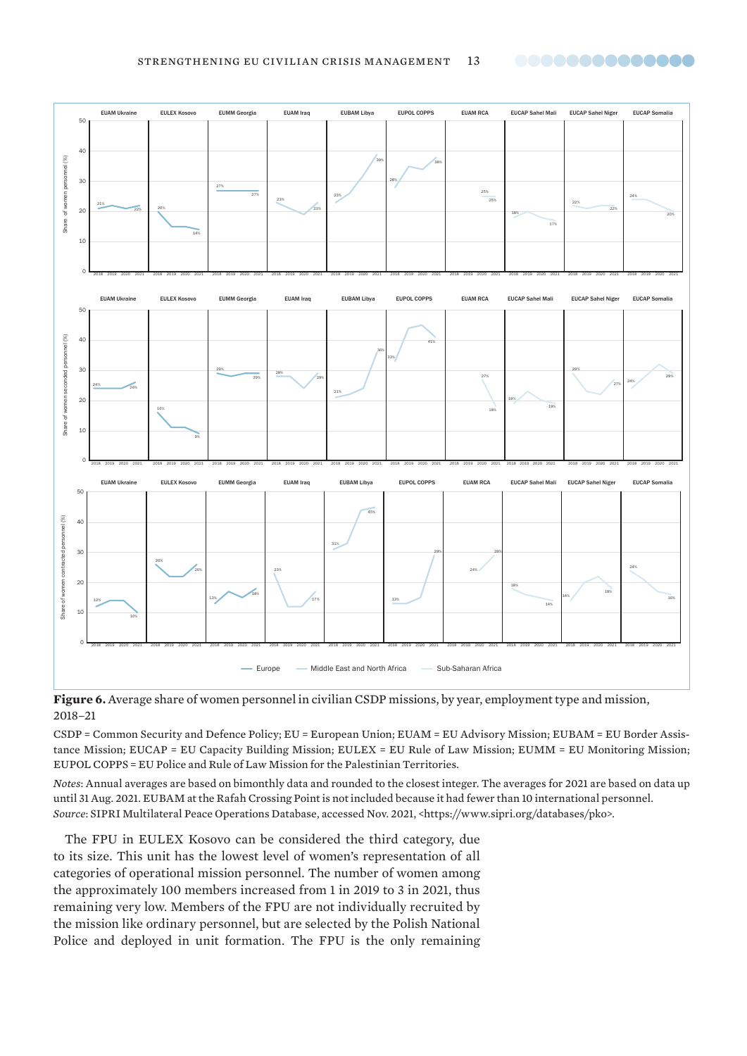$\overline{0}$ 

 $\overline{0}$ 

 $\overline{0}$ 

2018 2019 2020 2021

10%

2018 2019 2020 2021

26%

13%

2018 2019 2020 2021

18%

23%

2018 2019 2020 2021

17%

26%

10

12%

 $20$ 

Share of women contracted personnel (%)

Share of women contracted personnel (%)

30

 $40$ 

50

10

 $\overline{2}$ 

Share of women seconded personnel (%)

Share of women seconded personnel (%)

30

40

50

10

20

Share of women personnel (%)

Share of women personnel (%)

30

 $\overline{40}$ 

50

<span id="page-12-0"></span>



2018 2019 2020 2021

CSDP = Common Security and Defence Policy; EU = European Union; EUAM = EU Advisory Mission; EUBAM = EU Border Assistance Mission; EUCAP = EU Capacity Building Mission; EULEX = EU Rule of Law Mission; EUMM = EU Monitoring Mission; EUPOL COPPS = EU Police and Rule of Law Mission for the Palestinian Territories.

Europe — Middle East and North Africa — Sub-Saharan Africa

2018 2019 2020 2021

14%

14%

2018 2019 2020 2021

18%

..............

24%

2018 2019 2020 2021

16%

18%

29%

2018 2019 2020 2021

2018 2019 2020 2021

13%

24%

29%

*Notes*: Annual averages are based on bimonthly data and rounded to the closest integer. The averages for 2021 are based on data up until 31 Aug. 2021. EUBAM at the Rafah Crossing Point is not included because it had fewer than 10 international personnel. *Source*: SIPRI Multilateral Peace Operations Database, accessed Nov. 2021, <https://www.sipri.org/databases/pko>.

The FPU in EULEX Kosovo can be considered the third category, due to its size. This unit has the lowest level of women's representation of all categories of operational mission personnel. The number of women among the approximately 100 members increased from 1 in 2019 to 3 in 2021, thus remaining very low. Members of the FPU are not individually recruited by the mission like ordinary personnel, but are selected by the Polish National Police and deployed in unit formation. The FPU is the only remaining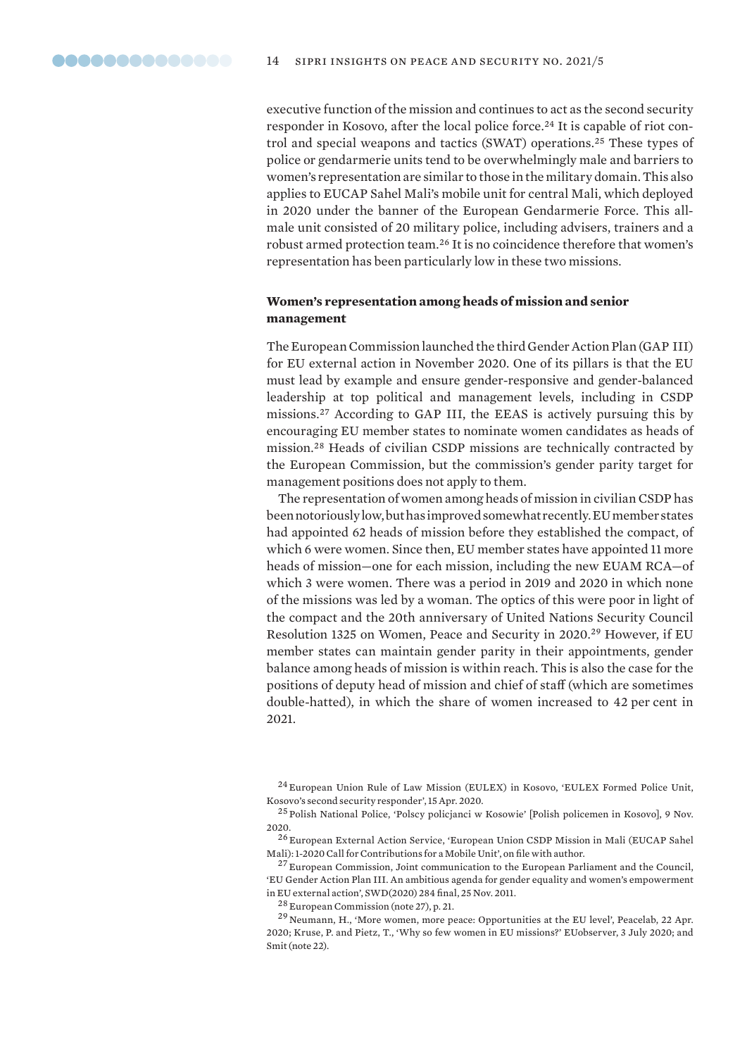<span id="page-13-0"></span>executive function of the mission and continues to act as the second security responder in Kosovo, after the local police force.<sup>24</sup> It is capable of riot control and special weapons and tactics (SWAT) operations.<sup>25</sup> These types of police or gendarmerie units tend to be overwhelmingly male and barriers to women's representation are similar to those in the military domain. This also applies to EUCAP Sahel Mali's mobile unit for central Mali, which deployed in 2020 under the banner of the European Gendarmerie Force. This allmale unit consisted of 20 military police, including advisers, trainers and a robust armed protection team.<sup>26</sup> It is no coincidence therefore that women's representation has been particularly low in these two missions.

# **Women's representation among heads of mission and senior management**

The European Commission launched the third Gender Action Plan (GAP III) for EU external action in November 2020. One of its pillars is that the EU must lead by example and ensure gender-responsive and gender-balanced leadership at top political and management levels, including in CSDP missions.<sup>27</sup> According to GAP III, the EEAS is actively pursuing this by encouraging EU member states to nominate women candidates as heads of mission.<sup>28</sup> Heads of civilian CSDP missions are technically contracted by the European Commission, but the commission's gender parity target for management positions does not apply to them.

The representation of women among heads of mission in civilian CSDP has been notoriously low, but has improved somewhat recently. EU member states had appointed 62 heads of mission before they established the compact, of which 6 were women. Since then, EU member states have appointed 11 more heads of mission—one for each mission, including the new EUAM RCA—of which 3 were women. There was a period in 2019 and 2020 in which none of the missions was led by a woman. The optics of this were poor in light of the compact and the 20th anniversary of United Nations Security Council Resolution 1325 on Women, Peace and Security in 2020.<sup>29</sup> However, if EU member states can maintain gender parity in their appointments, gender balance among heads of mission is within reach. This is also the case for the positions of deputy head of mission and chief of staff (which are sometimes double-hatted), in which the share of women increased to 42 per cent in 2021.

<sup>27</sup> European Commission, Joint communication to the European Parliament and the Council, '[EU Gender Action Plan III. An ambitious agenda for gender equality and women's empowerment](https://ec.europa.eu/international-partnerships/system/files/join-2020-17-final_en.pdf)  [in EU external action](https://ec.europa.eu/international-partnerships/system/files/join-2020-17-final_en.pdf)', SWD(2020) 284 final, 25 Nov. 2011.

<sup>28</sup> European Commission (note 27), p. 21.

<sup>24</sup> European Union Rule of Law Mission (EULEX) in Kosovo, '[EULEX Formed Police Unit,](https://www.eulex-kosovo.eu/?page=2,11,1197)  [Kosovo's second security responder'](https://www.eulex-kosovo.eu/?page=2,11,1197), 15 Apr. 2020.

<sup>25</sup> Polish National Police, '[Polscy policjanci w Kosowie'](https://isp.policja.pl/isp/aktualnosci/15641,Polscy-policjanci-w-Kosowie.html) [Polish policemen in Kosovo], 9 Nov. 2020.

<sup>26</sup> European External Action Service, 'European Union CSDP Mission in Mali (EUCAP Sahel Mali): 1-2020 Call for Contributions for a Mobile Unit', on file with author.

<sup>29</sup> Neumann, H., '[More women, more peace: Opportunities at the EU level](https://peacelab.blog/2020/04/more-women-more-peace-opportunities-at-the-eu-level)', Peacelab, 22 Apr. 2020; Kruse, P. and Pietz, T., '[Why so few women in EU missions?'](https://euobserver.com/opinion/148837) EUobserver, 3 July 2020; and Smit (note 22).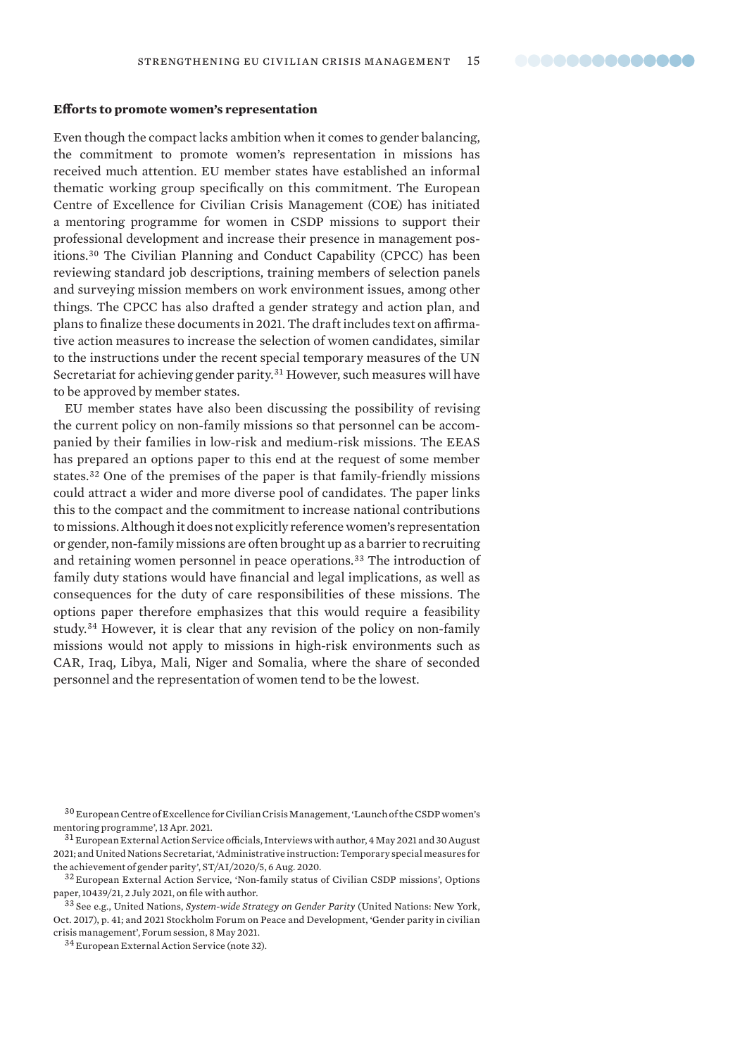#### <span id="page-14-0"></span>**Efforts to promote women's representation**

Even though the compact lacks ambition when it comes to gender balancing, the commitment to promote women's representation in missions has received much attention. EU member states have established an informal thematic working group specifically on this commitment. The European Centre of Excellence for Civilian Crisis Management (COE) has initiated a mentoring programme for women in CSDP missions to support their professional development and increase their presence in management positions.<sup>30</sup> The Civilian Planning and Conduct Capability (CPCC) has been reviewing standard job descriptions, training members of selection panels and surveying mission members on work environment issues, among other things. The CPCC has also drafted a gender strategy and action plan, and plans to finalize these documents in 2021. The draft includes text on affirmative action measures to increase the selection of women candidates, similar to the instructions under the recent special temporary measures of the UN Secretariat for achieving gender parity.<sup>31</sup> However, such measures will have to be approved by member states.

EU member states have also been discussing the possibility of revising the current policy on non-family missions so that personnel can be accompanied by their families in low-risk and medium-risk missions. The EEAS has prepared an options paper to this end at the request of some member states.<sup>32</sup> One of the premises of the paper is that family-friendly missions could attract a wider and more diverse pool of candidates. The paper links this to the compact and the commitment to increase national contributions to missions. Although it does not explicitly reference women's representation or gender, non-family missions are often brought up as a barrier to recruiting and retaining women personnel in peace operations.<sup>33</sup> The introduction of family duty stations would have financial and legal implications, as well as consequences for the duty of care responsibilities of these missions. The options paper therefore emphasizes that this would require a feasibility study.<sup>34</sup> However, it is clear that any revision of the policy on non-family missions would not apply to missions in high-risk environments such as CAR, Iraq, Libya, Mali, Niger and Somalia, where the share of seconded personnel and the representation of women tend to be the lowest.

<sup>30</sup> European Centre of Excellence for Civilian Crisis Management, ['Launch of the CSDP women's](https://www.coe-civ.eu/the-coe/stay-informed/news/details/launch-of-the-csdpwomens-mentoringprogramme)  [mentoring programme](https://www.coe-civ.eu/the-coe/stay-informed/news/details/launch-of-the-csdpwomens-mentoringprogramme)', 13 Apr. 2021.

<sup>31</sup> European External Action Service officials, Interviews with author, 4 May 2021 and 30 August 2021; and United Nations Secretariat, ['Administrative instruction: Temporary special measures for](https://unsos.unmissions.org/sites/default/files/st_ai_2020_5_temp_special_measures_to_achieve_gender_parity.pdf)  [the achievement of gender parity'](https://unsos.unmissions.org/sites/default/files/st_ai_2020_5_temp_special_measures_to_achieve_gender_parity.pdf), ST/AI/2020/5, 6 Aug. 2020.

<sup>32</sup> European External Action Service, 'Non-family status of Civilian CSDP missions', Options paper, 10439/21, 2 July 2021, on file with author.

<sup>33</sup> See e.g., United Nations, *[System-wide Strategy on Gender Parity](https://www.un.org/gender/sites/www.un.org.gender/files/gender_parity_strategy_october_2017.pdf)* (United Nations: New York, Oct. 2017), p. 41; and 2021 Stockholm Forum on Peace and Development, 'Gender parity in civilian crisis management', Forum session, 8 May 2021.

<sup>34</sup> European External Action Service (note 32).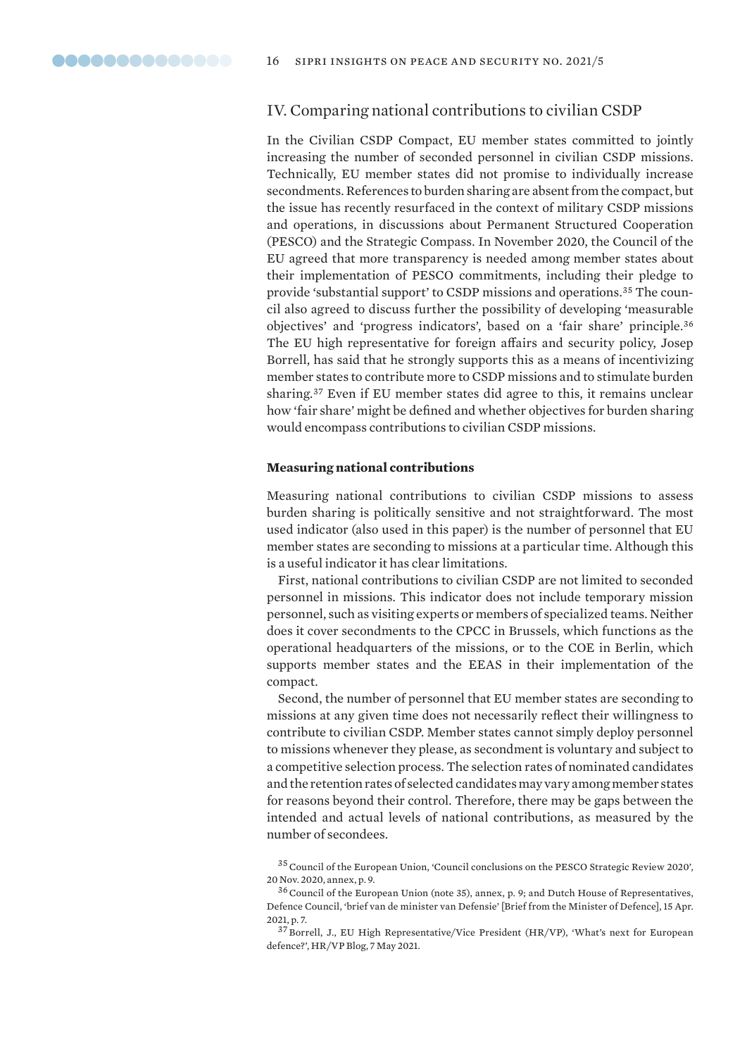# <span id="page-15-0"></span>IV. Comparing national contributions to civilian CSDP

In the Civilian CSDP Compact, EU member states committed to jointly increasing the number of seconded personnel in civilian CSDP missions. Technically, EU member states did not promise to individually increase secondments. References to burden sharing are absent from the compact, but the issue has recently resurfaced in the context of military CSDP missions and operations, in discussions about Permanent Structured Cooperation (PESCO) and the Strategic Compass. In November 2020, the Council of the EU agreed that more transparency is needed among member states about their implementation of PESCO commitments, including their pledge to provide 'substantial support' to CSDP missions and operations.35 The council also agreed to discuss further the possibility of developing 'measurable objectives' and 'progress indicators', based on a 'fair share' principle.<sup>36</sup> The EU high representative for foreign affairs and security policy, Josep Borrell, has said that he strongly supports this as a means of incentivizing member states to contribute more to CSDP missions and to stimulate burden sharing.<sup>37</sup> Even if EU member states did agree to this, it remains unclear how 'fair share' might be defined and whether objectives for burden sharing would encompass contributions to civilian CSDP missions.

#### **Measuring national contributions**

Measuring national contributions to civilian CSDP missions to assess burden sharing is politically sensitive and not straightforward. The most used indicator (also used in this paper) is the number of personnel that EU member states are seconding to missions at a particular time. Although this is a useful indicator it has clear limitations.

First, national contributions to civilian CSDP are not limited to seconded personnel in missions. This indicator does not include temporary mission personnel, such as visiting experts or members of specialized teams. Neither does it cover secondments to the CPCC in Brussels, which functions as the operational headquarters of the missions, or to the COE in Berlin, which supports member states and the EEAS in their implementation of the compact.

Second, the number of personnel that EU member states are seconding to missions at any given time does not necessarily reflect their willingness to contribute to civilian CSDP. Member states cannot simply deploy personnel to missions whenever they please, as secondment is voluntary and subject to a competitive selection process. The selection rates of nominated candidates and the retention rates of selected candidates may vary among member states for reasons beyond their control. Therefore, there may be gaps between the intended and actual levels of national contributions, as measured by the number of secondees.

<sup>35</sup>Council of the European Union, ['Council conclusions on the PESCO Strategic Review 2020](https://pesco.europa.eu/wp-content/uploads/2020/12/2020-11-20-Council-Conclusions-on-PESCO-Strategic-Review-2020.pdf)', 20 Nov. 2020, annex, p. 9.

<sup>36</sup>Council of the European Union (note 35), annex, p. 9; and Dutch House of Representatives, Defence Council, ['brief van de minister van Defensie](https://www.tweedekamer.nl/kamerstukken/brieven_regering/detail?id=2021Z06175&did=2021D13599)' [Brief from the Minister of Defence], 15 Apr. 2021, p. 7.

<sup>37</sup> Borrell, J., EU High Representative/Vice President (HR/VP), '[What's next for European](https://eeas.europa.eu/headquarters/headquarters-homepage/98044/what’s-next-european-defence_en)  [defence?](https://eeas.europa.eu/headquarters/headquarters-homepage/98044/what’s-next-european-defence_en)', HR/VP Blog, 7 May 2021.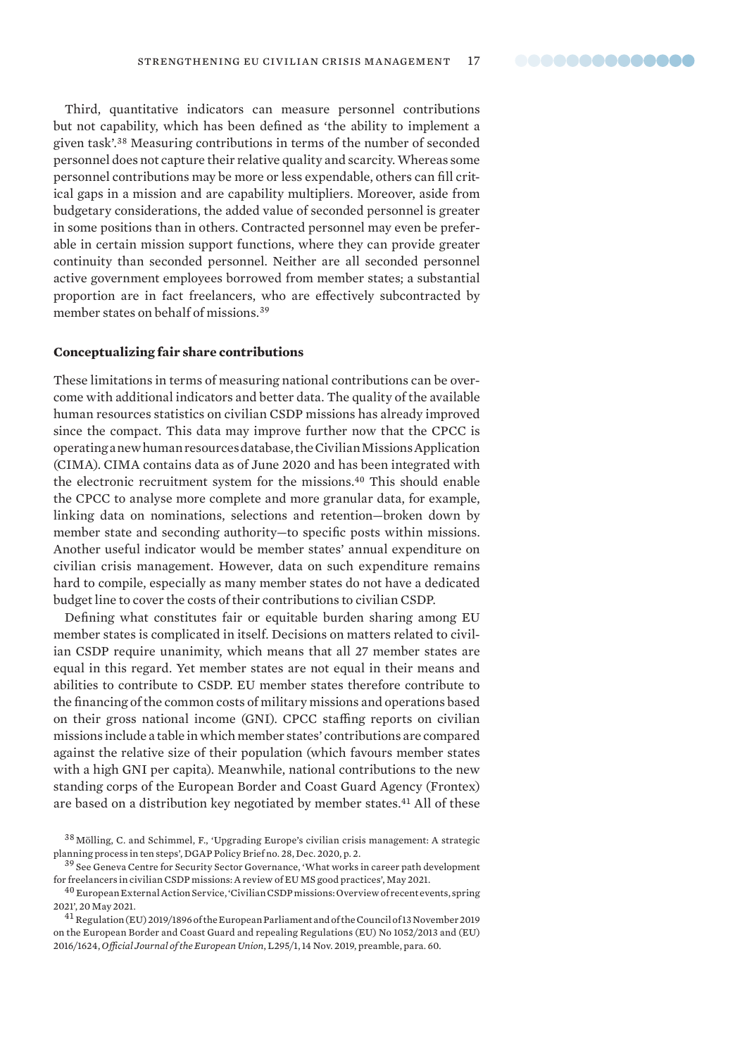<span id="page-16-0"></span>Third, quantitative indicators can measure personnel contributions but not capability, which has been defined as 'the ability to implement a given task'.<sup>38</sup> Measuring contributions in terms of the number of seconded personnel does not capture their relative quality and scarcity. Whereas some personnel contributions may be more or less expendable, others can fill critical gaps in a mission and are capability multipliers. Moreover, aside from budgetary considerations, the added value of seconded personnel is greater in some positions than in others. Contracted personnel may even be preferable in certain mission support functions, where they can provide greater continuity than seconded personnel. Neither are all seconded personnel active government employees borrowed from member states; a substantial proportion are in fact freelancers, who are effectively subcontracted by member states on behalf of missions.<sup>39</sup>

#### **Conceptualizing fair share contributions**

These limitations in terms of measuring national contributions can be overcome with additional indicators and better data. The quality of the available human resources statistics on civilian CSDP missions has already improved since the compact. This data may improve further now that the CPCC is operating a new human resources database, the Civilian Missions Application (CIMA). CIMA contains data as of June 2020 and has been integrated with the electronic recruitment system for the missions.<sup>40</sup> This should enable the CPCC to analyse more complete and more granular data, for example, linking data on nominations, selections and retention—broken down by member state and seconding authority—to specific posts within missions. Another useful indicator would be member states' annual expenditure on civilian crisis management. However, data on such expenditure remains hard to compile, especially as many member states do not have a dedicated budget line to cover the costs of their contributions to civilian CSDP.

Defining what constitutes fair or equitable burden sharing among EU member states is complicated in itself. Decisions on matters related to civilian CSDP require unanimity, which means that all 27 member states are equal in this regard. Yet member states are not equal in their means and abilities to contribute to CSDP. EU member states therefore contribute to the financing of the common costs of military missions and operations based on their gross national income (GNI). CPCC staffing reports on civilian missions include a table in which member states' contributions are compared against the relative size of their population (which favours member states with a high GNI per capita). Meanwhile, national contributions to the new standing corps of the European Border and Coast Guard Agency (Frontex) are based on a distribution key negotiated by member states.<sup>41</sup> All of these

<sup>38</sup> Mölling, C. and Schimmel, F., '[Upgrading Europe's civilian crisis management: A strategic](https://dgap.org/sites/default/files/article_pdfs/dgap-policy_brief-2020-28-en-graphic.pdf)  [planning process in ten steps](https://dgap.org/sites/default/files/article_pdfs/dgap-policy_brief-2020-28-en-graphic.pdf)', DGAP Policy Brief no. 28, Dec. 2020, p. 2.

<sup>39</sup> See Geneva Centre for Security Sector Governance, '[What works in career path development](https://issat.dcaf.ch/download/159804/3343302/What%20works%20in%20Career%20Path%20Development%20for%20Freelancers%20in%20Civilian%20CSDP%20missions%20-%20Good%20practices%20from%20EUMS.pdf)  [for freelancers in civilian CSDP missions: A review of EU MS good practices'](https://issat.dcaf.ch/download/159804/3343302/What%20works%20in%20Career%20Path%20Development%20for%20Freelancers%20in%20Civilian%20CSDP%20missions%20-%20Good%20practices%20from%20EUMS.pdf), May 2021.

 $^{40}$ European External Action Service, 'Civilian CSDP missions: Overview of recent events, spring [2021'](https://eeas.europa.eu/headquarters/headquarters-homepage/98782/civilian-csdp-missions-overview-recent-events-spring-2021_en), 20 May 2021.

<sup>41</sup>[Regulation \(EU\) 2019/1896 of the European Parliament and of the Council of 13 November 2019](https://eur-lex.europa.eu/legal-content/EN/TXT/PDF/?uri=CELEX:32019R1896&rid=2)  [on the European Border and Coast Guard and repealing Regulations \(EU\) No 1052/2013 and \(EU\)](https://eur-lex.europa.eu/legal-content/EN/TXT/PDF/?uri=CELEX:32019R1896&rid=2)  [2016/1624](https://eur-lex.europa.eu/legal-content/EN/TXT/PDF/?uri=CELEX:32019R1896&rid=2), *Official Journal of the European Union*, L295/1, 14 Nov. 2019, preamble, para. 60.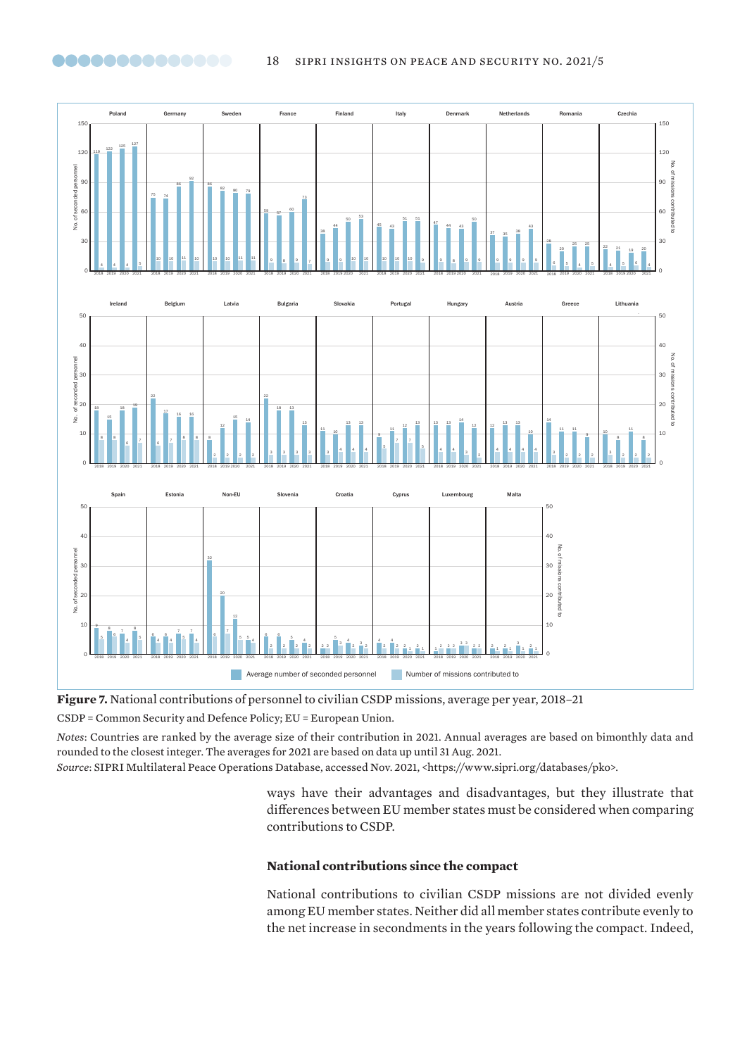

**Figure 7.** National contributions of personnel to civilian CSDP missions, average per year, 2018–21

CSDP = Common Security and Defence Policy; EU = European Union.

<span id="page-17-0"></span>

*Notes*: Countries are ranked by the average size of their contribution in 2021. Annual averages are based on bimonthly data and rounded to the closest integer. The averages for 2021 are based on data up until 31 Aug. 2021.

*Source*: SIPRI Multilateral Peace Operations Database, accessed Nov. 2021, <https://www.sipri.org/databases/pko>.

ways have their advantages and disadvantages, but they illustrate that differences between EU member states must be considered when comparing contributions to CSDP.

# **National contributions since the compact**

National contributions to civilian CSDP missions are not divided evenly among EU member states. Neither did all member states contribute evenly to the net increase in secondments in the years following the compact. Indeed,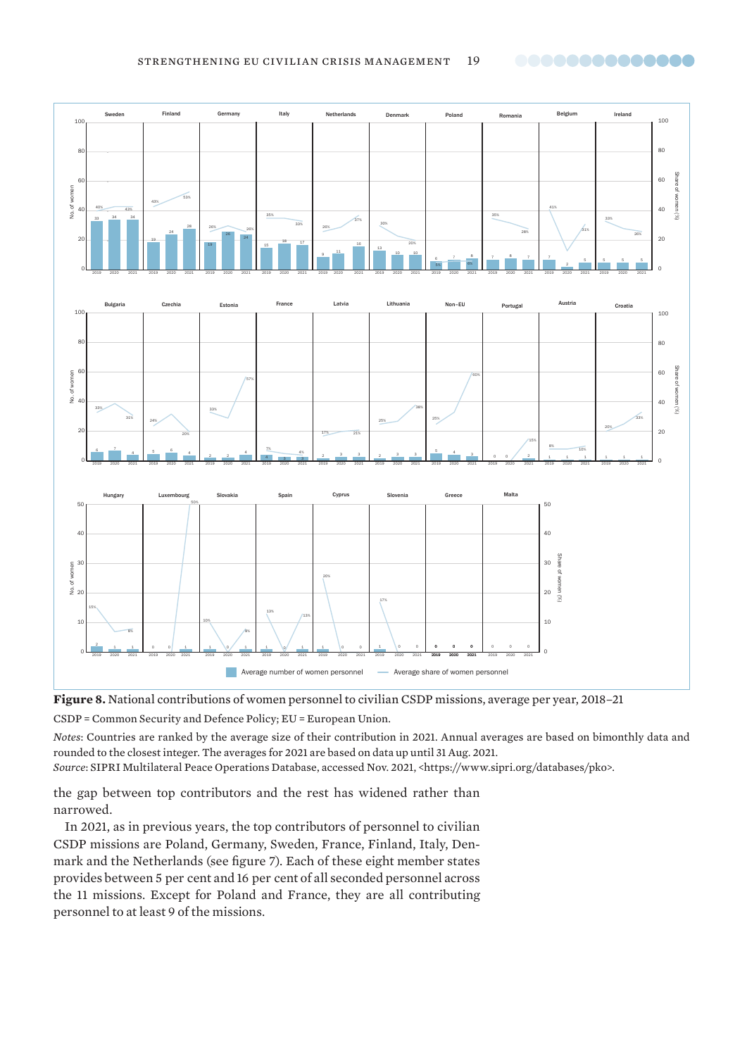<span id="page-18-0"></span>



CSDP = Common Security and Defence Policy; EU = European Union.

*Notes*: Countries are ranked by the average size of their contribution in 2021. Annual averages are based on bimonthly data and rounded to the closest integer. The averages for 2021 are based on data up until 31 Aug. 2021.

*Source*: SIPRI Multilateral Peace Operations Database, accessed Nov. 2021, <https://www.sipri.org/databases/pko>.

the gap between top contributors and the rest has widened rather than narrowed.

In 2021, as in previous years, the top contributors of personnel to civilian CSDP missions are Poland, Germany, Sweden, France, Finland, Italy, Denmark and the Netherlands (see figure 7). Each of these eight member states provides between 5 per cent and 16 per cent of all seconded personnel across the 11 missions. Except for Poland and France, they are all contributing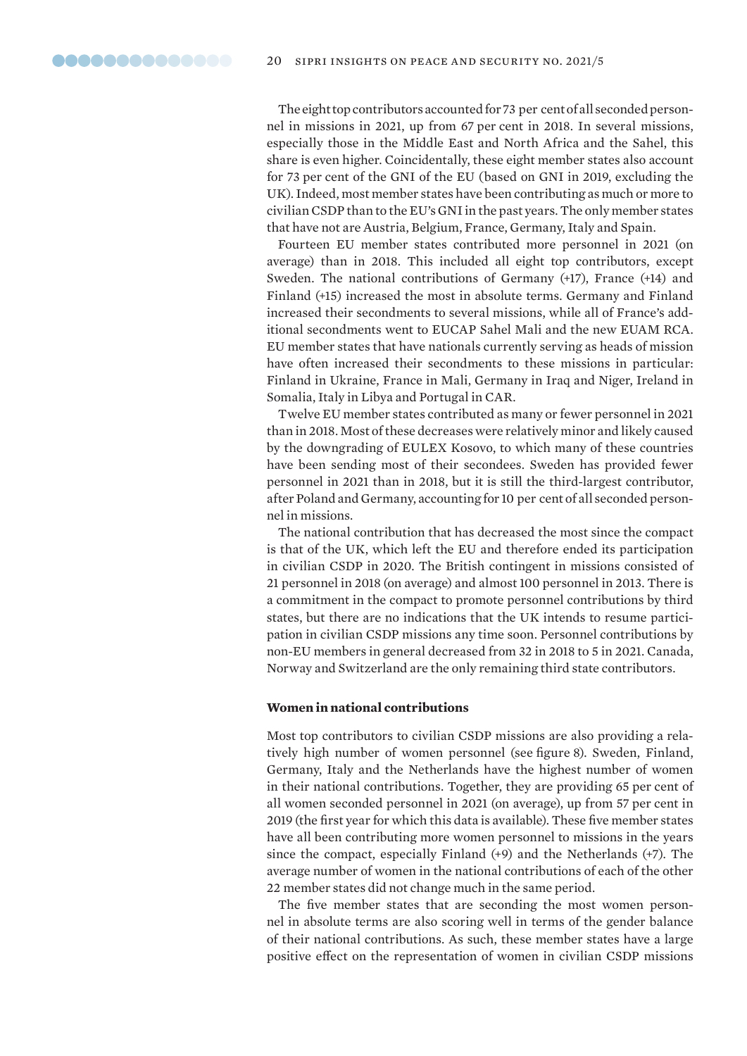<span id="page-19-0"></span>The eight top contributors accounted for 73 per cent of all seconded personnel in missions in 2021, up from 67 per cent in 2018. In several missions, especially those in the Middle East and North Africa and the Sahel, this share is even higher. Coincidentally, these eight member states also account for 73 per cent of the GNI of the EU (based on GNI in 2019, excluding the UK). Indeed, most member states have been contributing as much or more to civilian CSDP than to the EU's GNI in the past years. The only member states that have not are Austria, Belgium, France, Germany, Italy and Spain.

Fourteen EU member states contributed more personnel in 2021 (on average) than in 2018. This included all eight top contributors, except Sweden. The national contributions of Germany (+17), France (+14) and Finland (+15) increased the most in absolute terms. Germany and Finland increased their secondments to several missions, while all of France's additional secondments went to EUCAP Sahel Mali and the new EUAM RCA. EU member states that have nationals currently serving as heads of mission have often increased their secondments to these missions in particular: Finland in Ukraine, France in Mali, Germany in Iraq and Niger, Ireland in Somalia, Italy in Libya and Portugal in CAR.

Twelve EU member states contributed as many or fewer personnel in 2021 than in 2018. Most of these decreases were relatively minor and likely caused by the downgrading of EULEX Kosovo, to which many of these countries have been sending most of their secondees. Sweden has provided fewer personnel in 2021 than in 2018, but it is still the third-largest contributor, after Poland and Germany, accounting for 10 per cent of all seconded personnel in missions.

The national contribution that has decreased the most since the compact is that of the UK, which left the EU and therefore ended its participation in civilian CSDP in 2020. The British contingent in missions consisted of 21 personnel in 2018 (on average) and almost 100 personnel in 2013. There is a commitment in the compact to promote personnel contributions by third states, but there are no indications that the UK intends to resume participation in civilian CSDP missions any time soon. Personnel contributions by non-EU members in general decreased from 32 in 2018 to 5 in 2021. Canada, Norway and Switzerland are the only remaining third state contributors.

### **Women in national contributions**

Most top contributors to civilian CSDP missions are also providing a relatively high number of women personnel (see figure 8). Sweden, Finland, Germany, Italy and the Netherlands have the highest number of women in their national contributions. Together, they are providing 65 per cent of all women seconded personnel in 2021 (on average), up from 57 per cent in 2019 (the first year for which this data is available). These five member states have all been contributing more women personnel to missions in the years since the compact, especially Finland (+9) and the Netherlands (+7). The average number of women in the national contributions of each of the other 22 member states did not change much in the same period.

The five member states that are seconding the most women personnel in absolute terms are also scoring well in terms of the gender balance of their national contributions. As such, these member states have a large positive effect on the representation of women in civilian CSDP missions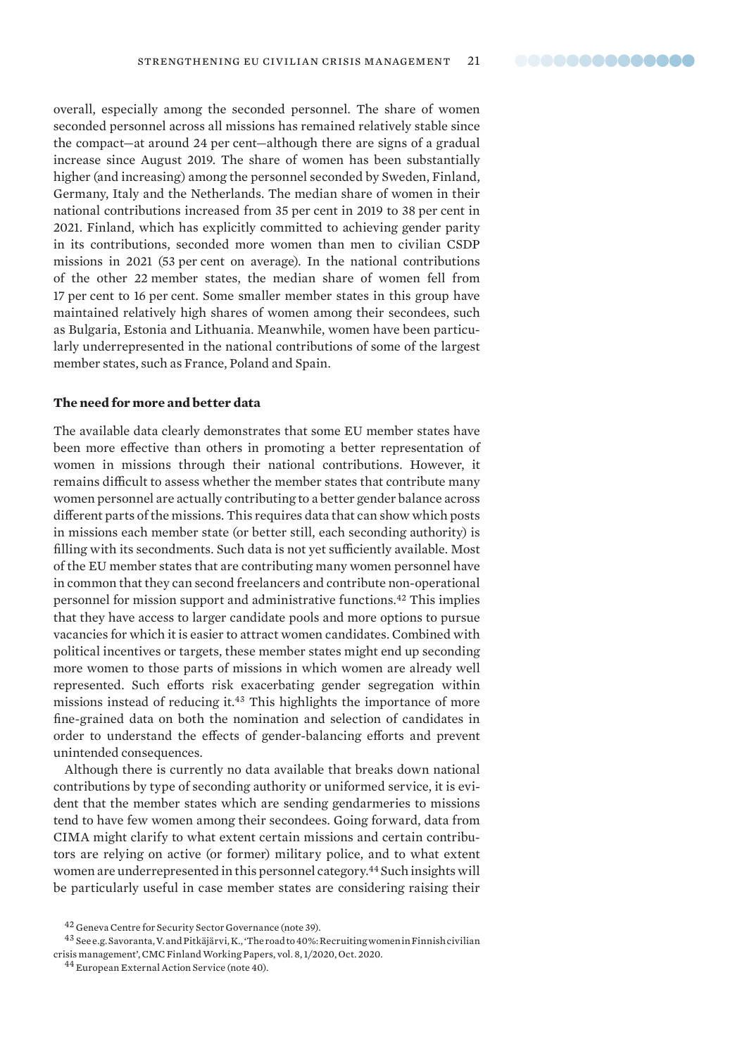<span id="page-20-0"></span>overall, especially among the seconded personnel. The share of women seconded personnel across all missions has remained relatively stable since the compact—at around 24 per cent—although there are signs of a gradual increase since August 2019. The share of women has been substantially higher (and increasing) among the personnel seconded by Sweden, Finland, Germany, Italy and the Netherlands. The median share of women in their national contributions increased from 35 per cent in 2019 to 38 per cent in 2021. Finland, which has explicitly committed to achieving gender parity in its contributions, seconded more women than men to civilian CSDP missions in 2021 (53 per cent on average). In the national contributions of the other 22 member states, the median share of women fell from 17 per cent to 16 per cent. Some smaller member states in this group have maintained relatively high shares of women among their secondees, such as Bulgaria, Estonia and Lithuania. Meanwhile, women have been particularly underrepresented in the national contributions of some of the largest member states, such as France, Poland and Spain.

#### **The need for more and better data**

The available data clearly demonstrates that some EU member states have been more effective than others in promoting a better representation of women in missions through their national contributions. However, it remains difficult to assess whether the member states that contribute many women personnel are actually contributing to a better gender balance across different parts of the missions. This requires data that can show which posts in missions each member state (or better still, each seconding authority) is filling with its secondments. Such data is not yet sufficiently available. Most of the EU member states that are contributing many women personnel have in common that they can second freelancers and contribute non-operational personnel for mission support and administrative functions.<sup>42</sup> This implies that they have access to larger candidate pools and more options to pursue vacancies for which it is easier to attract women candidates. Combined with political incentives or targets, these member states might end up seconding more women to those parts of missions in which women are already well represented. Such efforts risk exacerbating gender segregation within missions instead of reducing it.<sup>43</sup> This highlights the importance of more fine-grained data on both the nomination and selection of candidates in order to understand the effects of gender-balancing efforts and prevent unintended consequences.

Although there is currently no data available that breaks down national contributions by type of seconding authority or uniformed service, it is evident that the member states which are sending gendarmeries to missions tend to have few women among their secondees. Going forward, data from CIMA might clarify to what extent certain missions and certain contributors are relying on active (or former) military police, and to what extent women are underrepresented in this personnel category.<sup>44</sup> Such insights will be particularly useful in case member states are considering raising their

<sup>43</sup> See e.g. Savoranta, V. and Pitkäjärvi, K., '[The road to 40%: Recruiting women in Finnish civilian](https://www.cmcfinland.fi/wp-content/uploads/2020/10/CMC-Finland-Working-Papers__Series-1-WEB-SAAVUTETTAVA.pdf)  [crisis management'](https://www.cmcfinland.fi/wp-content/uploads/2020/10/CMC-Finland-Working-Papers__Series-1-WEB-SAAVUTETTAVA.pdf), CMC Finland Working Papers, vol. 8, 1/2020, Oct. 2020.

<sup>42</sup> Geneva Centre for Security Sector Governance (note 39).

<sup>44</sup> European External Action Service (note 40).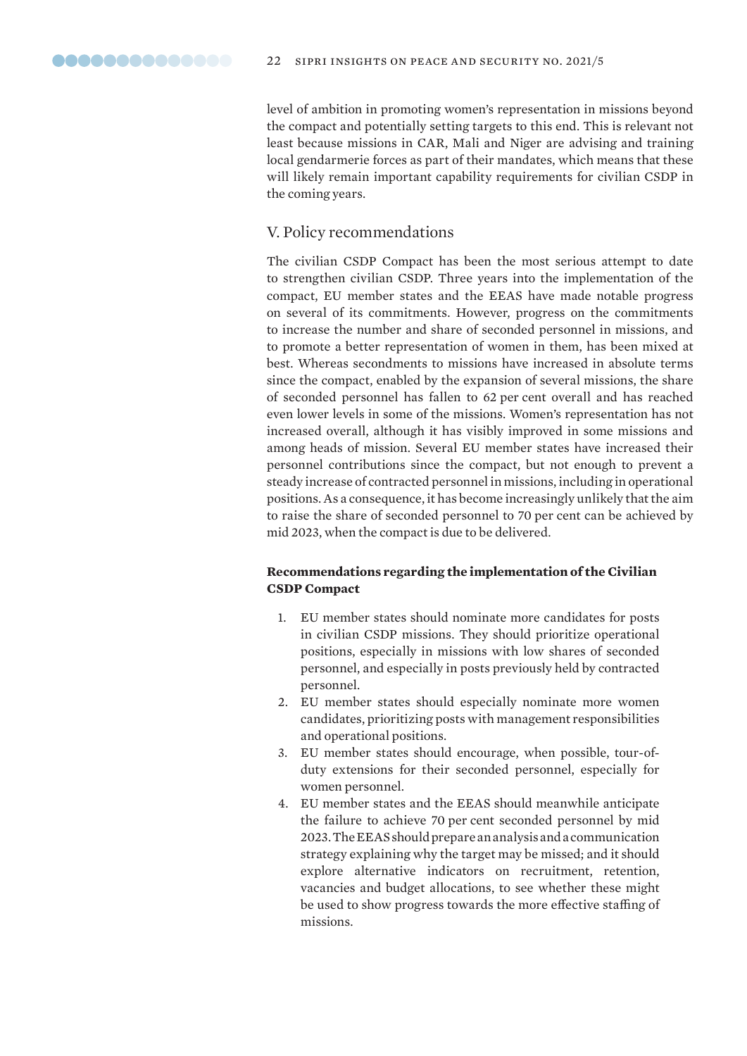<span id="page-21-0"></span>level of ambition in promoting women's representation in missions beyond the compact and potentially setting targets to this end. This is relevant not least because missions in CAR, Mali and Niger are advising and training local gendarmerie forces as part of their mandates, which means that these will likely remain important capability requirements for civilian CSDP in the coming years.

# V. Policy recommendations

The civilian CSDP Compact has been the most serious attempt to date to strengthen civilian CSDP. Three years into the implementation of the compact, EU member states and the EEAS have made notable progress on several of its commitments. However, progress on the commitments to increase the number and share of seconded personnel in missions, and to promote a better representation of women in them, has been mixed at best. Whereas secondments to missions have increased in absolute terms since the compact, enabled by the expansion of several missions, the share of seconded personnel has fallen to 62 per cent overall and has reached even lower levels in some of the missions. Women's representation has not increased overall, although it has visibly improved in some missions and among heads of mission. Several EU member states have increased their personnel contributions since the compact, but not enough to prevent a steady increase of contracted personnel in missions, including in operational positions. As a consequence, it has become increasingly unlikely that the aim to raise the share of seconded personnel to 70 per cent can be achieved by mid 2023, when the compact is due to be delivered.

# **Recommendations regarding the implementation of the Civilian CSDP Compact**

- 1. EU member states should nominate more candidates for posts in civilian CSDP missions. They should prioritize operational positions, especially in missions with low shares of seconded personnel, and especially in posts previously held by contracted personnel.
- 2. EU member states should especially nominate more women candidates, prioritizing posts with management responsibilities and operational positions.
- 3. EU member states should encourage, when possible, tour-ofduty extensions for their seconded personnel, especially for women personnel.
- 4. EU member states and the EEAS should meanwhile anticipate the failure to achieve 70 per cent seconded personnel by mid 2023. The EEAS should prepare an analysis and a communication strategy explaining why the target may be missed; and it should explore alternative indicators on recruitment, retention, vacancies and budget allocations, to see whether these might be used to show progress towards the more effective staffing of missions.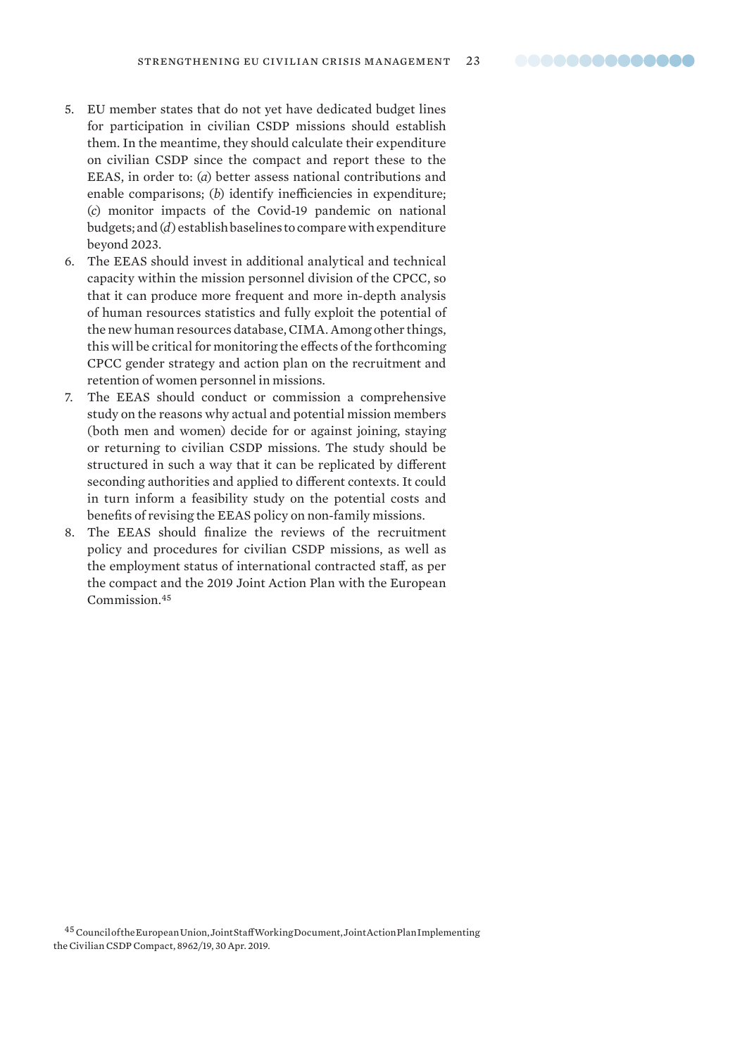- 5. EU member states that do not yet have dedicated budget lines for participation in civilian CSDP missions should establish them. In the meantime, they should calculate their expenditure on civilian CSDP since the compact and report these to the EEAS, in order to: (*a*) better assess national contributions and enable comparisons; (*b*) identify inefficiencies in expenditure; (*c*) monitor impacts of the Covid-19 pandemic on national budgets; and (*d*) establish baselines to compare with expenditure beyond 2023.
- 6. The EEAS should invest in additional analytical and technical capacity within the mission personnel division of the CPCC, so that it can produce more frequent and more in-depth analysis of human resources statistics and fully exploit the potential of the new human resources database, CIMA. Among other things, this will be critical for monitoring the effects of the forthcoming CPCC gender strategy and action plan on the recruitment and retention of women personnel in missions.
- 7. The EEAS should conduct or commission a comprehensive study on the reasons why actual and potential mission members (both men and women) decide for or against joining, staying or returning to civilian CSDP missions. The study should be structured in such a way that it can be replicated by different seconding authorities and applied to different contexts. It could in turn inform a feasibility study on the potential costs and benefits of revising the EEAS policy on non-family missions.
- 8. The EEAS should finalize the reviews of the recruitment policy and procedures for civilian CSDP missions, as well as the employment status of international contracted staff, as per the compact and the 2019 Joint Action Plan with the European Commission.<sup>45</sup>

45 Council of the European Union, Joint Staff Working Document, Joint Action Plan Implementing [the Civilian CSDP Compact](https://data.consilium.europa.eu/doc/document/ST-8962-2019-INIT/en/pdf), 8962/19, 30 Apr. 2019.